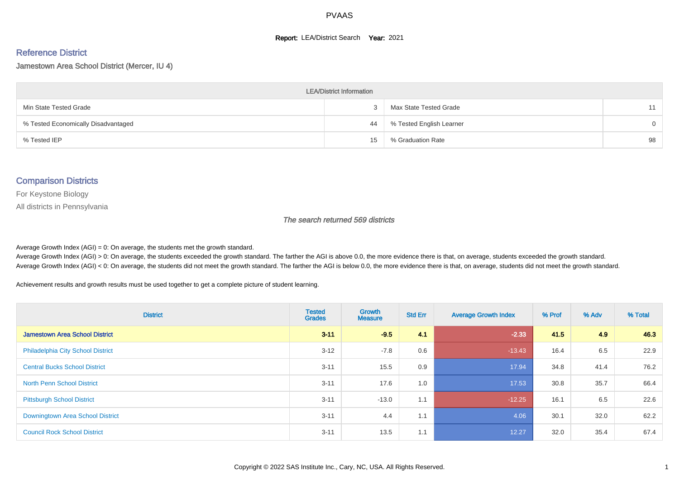#### **Report: LEA/District Search Year: 2021**

#### Reference District

#### Jamestown Area School District (Mercer, IU 4)

| <b>LEA/District Information</b>     |    |                          |          |  |  |  |  |  |  |  |
|-------------------------------------|----|--------------------------|----------|--|--|--|--|--|--|--|
| Min State Tested Grade              |    | Max State Tested Grade   | 11       |  |  |  |  |  |  |  |
| % Tested Economically Disadvantaged | 44 | % Tested English Learner | $\Omega$ |  |  |  |  |  |  |  |
| % Tested IEP                        | 15 | % Graduation Rate        | 98       |  |  |  |  |  |  |  |

#### Comparison Districts

For Keystone Biology

All districts in Pennsylvania

The search returned 569 districts

Average Growth Index  $(AGI) = 0$ : On average, the students met the growth standard.

Average Growth Index (AGI) > 0: On average, the students exceeded the growth standard. The farther the AGI is above 0.0, the more evidence there is that, on average, students exceeded the growth standard. Average Growth Index (AGI) < 0: On average, the students did not meet the growth standard. The farther the AGI is below 0.0, the more evidence there is that, on average, students did not meet the growth standard.

Achievement results and growth results must be used together to get a complete picture of student learning.

| <b>District</b>                          | <b>Tested</b><br><b>Grades</b> | <b>Growth</b><br><b>Measure</b> | <b>Std Err</b> | <b>Average Growth Index</b> | % Prof | % Adv | % Total |
|------------------------------------------|--------------------------------|---------------------------------|----------------|-----------------------------|--------|-------|---------|
| <b>Jamestown Area School District</b>    | $3 - 11$                       | $-9.5$                          | 4.1            | $-2.33$                     | 41.5   | 4.9   | 46.3    |
| <b>Philadelphia City School District</b> | $3 - 12$                       | $-7.8$                          | 0.6            | $-13.43$                    | 16.4   | 6.5   | 22.9    |
| <b>Central Bucks School District</b>     | $3 - 11$                       | 15.5                            | 0.9            | 17.94                       | 34.8   | 41.4  | 76.2    |
| <b>North Penn School District</b>        | $3 - 11$                       | 17.6                            | 1.0            | 17.53                       | 30.8   | 35.7  | 66.4    |
| <b>Pittsburgh School District</b>        | $3 - 11$                       | $-13.0$                         | 1.1            | $-12.25$                    | 16.1   | 6.5   | 22.6    |
| Downingtown Area School District         | $3 - 11$                       | 4.4                             | 1.1            | 4.06                        | 30.1   | 32.0  | 62.2    |
| <b>Council Rock School District</b>      | $3 - 11$                       | 13.5                            | 1.1            | 12.27                       | 32.0   | 35.4  | 67.4    |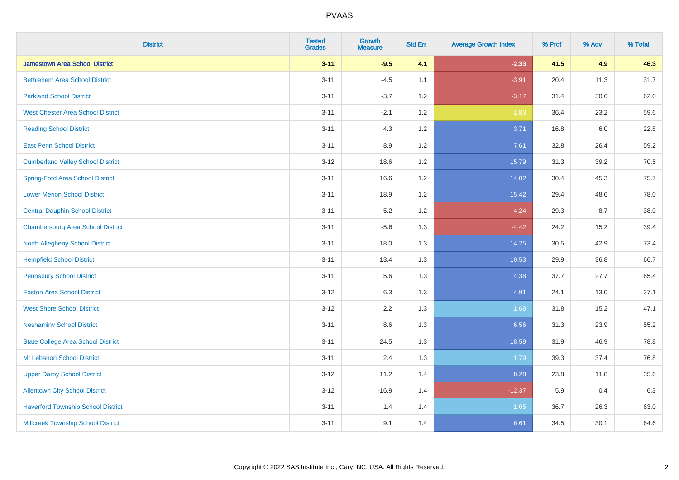| <b>District</b>                           | <b>Tested</b><br><b>Grades</b> | <b>Growth</b><br><b>Measure</b> | <b>Std Err</b> | <b>Average Growth Index</b> | % Prof | % Adv | % Total |
|-------------------------------------------|--------------------------------|---------------------------------|----------------|-----------------------------|--------|-------|---------|
| <b>Jamestown Area School District</b>     | $3 - 11$                       | $-9.5$                          | 4.1            | $-2.33$                     | 41.5   | 4.9   | 46.3    |
| <b>Bethlehem Area School District</b>     | $3 - 11$                       | $-4.5$                          | 1.1            | $-3.91$                     | 20.4   | 11.3  | 31.7    |
| <b>Parkland School District</b>           | $3 - 11$                       | $-3.7$                          | 1.2            | $-3.17$                     | 31.4   | 30.6  | 62.0    |
| <b>West Chester Area School District</b>  | $3 - 11$                       | $-2.1$                          | 1.2            | $-1.83$                     | 36.4   | 23.2  | 59.6    |
| <b>Reading School District</b>            | $3 - 11$                       | 4.3                             | 1.2            | 3.71                        | 16.8   | 6.0   | 22.8    |
| <b>East Penn School District</b>          | $3 - 11$                       | 8.9                             | 1.2            | 7.61                        | 32.8   | 26.4  | 59.2    |
| <b>Cumberland Valley School District</b>  | $3 - 12$                       | 18.6                            | 1.2            | 15.79                       | 31.3   | 39.2  | 70.5    |
| <b>Spring-Ford Area School District</b>   | $3 - 11$                       | 16.6                            | 1.2            | 14.02                       | 30.4   | 45.3  | 75.7    |
| <b>Lower Merion School District</b>       | $3 - 11$                       | 18.9                            | 1.2            | 15.42                       | 29.4   | 48.6  | 78.0    |
| <b>Central Dauphin School District</b>    | $3 - 11$                       | $-5.2$                          | 1.2            | $-4.24$                     | 29.3   | 8.7   | 38.0    |
| <b>Chambersburg Area School District</b>  | $3 - 11$                       | $-5.6$                          | 1.3            | $-4.42$                     | 24.2   | 15.2  | 39.4    |
| <b>North Allegheny School District</b>    | $3 - 11$                       | 18.0                            | 1.3            | 14.25                       | 30.5   | 42.9  | 73.4    |
| <b>Hempfield School District</b>          | $3 - 11$                       | 13.4                            | 1.3            | 10.53                       | 29.9   | 36.8  | 66.7    |
| <b>Pennsbury School District</b>          | $3 - 11$                       | 5.6                             | 1.3            | 4.38                        | 37.7   | 27.7  | 65.4    |
| <b>Easton Area School District</b>        | $3 - 12$                       | 6.3                             | 1.3            | 4.91                        | 24.1   | 13.0  | 37.1    |
| <b>West Shore School District</b>         | $3 - 12$                       | 2.2                             | 1.3            | 1.68                        | 31.8   | 15.2  | 47.1    |
| <b>Neshaminy School District</b>          | $3 - 11$                       | 8.6                             | 1.3            | 6.56                        | 31.3   | 23.9  | 55.2    |
| <b>State College Area School District</b> | $3 - 11$                       | 24.5                            | 1.3            | 18.59                       | 31.9   | 46.9  | 78.8    |
| Mt Lebanon School District                | $3 - 11$                       | 2.4                             | 1.3            | 1.79                        | 39.3   | 37.4  | 76.8    |
| <b>Upper Darby School District</b>        | $3 - 12$                       | 11.2                            | 1.4            | 8.28                        | 23.8   | 11.8  | 35.6    |
| <b>Allentown City School District</b>     | $3 - 12$                       | $-16.9$                         | 1.4            | $-12.37$                    | 5.9    | 0.4   | 6.3     |
| <b>Haverford Township School District</b> | $3 - 11$                       | 1.4                             | 1.4            | 1.05                        | 36.7   | 26.3  | 63.0    |
| <b>Millcreek Township School District</b> | $3 - 11$                       | 9.1                             | 1.4            | 6.61                        | 34.5   | 30.1  | 64.6    |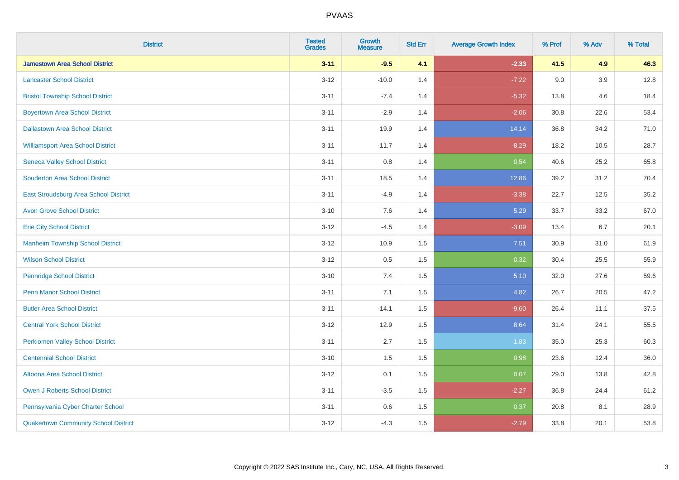| <b>District</b>                             | <b>Tested</b><br><b>Grades</b> | Growth<br><b>Measure</b> | <b>Std Err</b> | <b>Average Growth Index</b> | % Prof | % Adv | % Total |
|---------------------------------------------|--------------------------------|--------------------------|----------------|-----------------------------|--------|-------|---------|
| <b>Jamestown Area School District</b>       | $3 - 11$                       | $-9.5$                   | 4.1            | $-2.33$                     | 41.5   | 4.9   | 46.3    |
| <b>Lancaster School District</b>            | $3 - 12$                       | $-10.0$                  | 1.4            | $-7.22$                     | 9.0    | 3.9   | 12.8    |
| <b>Bristol Township School District</b>     | $3 - 11$                       | $-7.4$                   | 1.4            | $-5.32$                     | 13.8   | 4.6   | 18.4    |
| <b>Boyertown Area School District</b>       | $3 - 11$                       | $-2.9$                   | 1.4            | $-2.06$                     | 30.8   | 22.6  | 53.4    |
| <b>Dallastown Area School District</b>      | $3 - 11$                       | 19.9                     | 1.4            | 14.14                       | 36.8   | 34.2  | 71.0    |
| <b>Williamsport Area School District</b>    | $3 - 11$                       | $-11.7$                  | 1.4            | $-8.29$                     | 18.2   | 10.5  | 28.7    |
| <b>Seneca Valley School District</b>        | $3 - 11$                       | $0.8\,$                  | 1.4            | 0.54                        | 40.6   | 25.2  | 65.8    |
| <b>Souderton Area School District</b>       | $3 - 11$                       | 18.5                     | 1.4            | 12.86                       | 39.2   | 31.2  | 70.4    |
| East Stroudsburg Area School District       | $3 - 11$                       | $-4.9$                   | 1.4            | $-3.38$                     | 22.7   | 12.5  | 35.2    |
| <b>Avon Grove School District</b>           | $3 - 10$                       | $7.6\,$                  | 1.4            | 5.29                        | 33.7   | 33.2  | 67.0    |
| <b>Erie City School District</b>            | $3 - 12$                       | $-4.5$                   | 1.4            | $-3.09$                     | 13.4   | 6.7   | 20.1    |
| <b>Manheim Township School District</b>     | $3 - 12$                       | 10.9                     | 1.5            | 7.51                        | 30.9   | 31.0  | 61.9    |
| <b>Wilson School District</b>               | $3 - 12$                       | 0.5                      | 1.5            | 0.32                        | 30.4   | 25.5  | 55.9    |
| <b>Pennridge School District</b>            | $3 - 10$                       | 7.4                      | 1.5            | 5.10                        | 32.0   | 27.6  | 59.6    |
| <b>Penn Manor School District</b>           | $3 - 11$                       | 7.1                      | 1.5            | 4.82                        | 26.7   | 20.5  | 47.2    |
| <b>Butler Area School District</b>          | $3 - 11$                       | $-14.1$                  | 1.5            | $-9.60$                     | 26.4   | 11.1  | 37.5    |
| <b>Central York School District</b>         | $3 - 12$                       | 12.9                     | 1.5            | 8.64                        | 31.4   | 24.1  | 55.5    |
| <b>Perkiomen Valley School District</b>     | $3 - 11$                       | 2.7                      | 1.5            | 1.83                        | 35.0   | 25.3  | 60.3    |
| <b>Centennial School District</b>           | $3 - 10$                       | 1.5                      | 1.5            | 0.98                        | 23.6   | 12.4  | 36.0    |
| Altoona Area School District                | $3 - 12$                       | 0.1                      | 1.5            | 0.07                        | 29.0   | 13.8  | 42.8    |
| Owen J Roberts School District              | $3 - 11$                       | $-3.5$                   | 1.5            | $-2.27$                     | 36.8   | 24.4  | 61.2    |
| Pennsylvania Cyber Charter School           | $3 - 11$                       | 0.6                      | 1.5            | 0.37                        | 20.8   | 8.1   | 28.9    |
| <b>Quakertown Community School District</b> | $3-12$                         | $-4.3$                   | 1.5            | $-2.79$                     | 33.8   | 20.1  | 53.8    |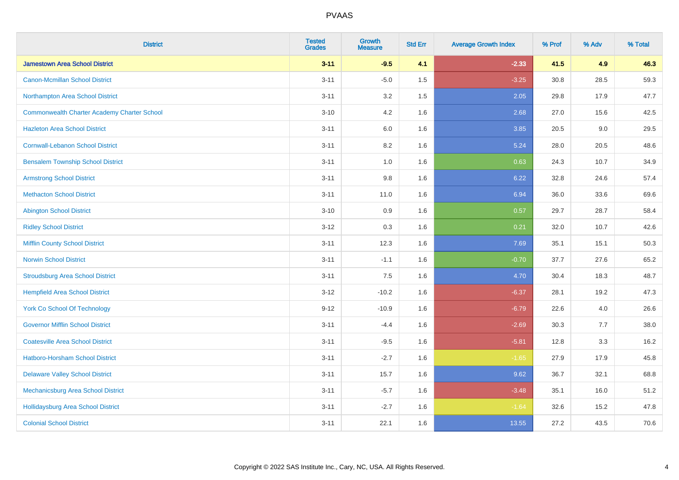| <b>District</b>                                    | <b>Tested</b><br><b>Grades</b> | <b>Growth</b><br><b>Measure</b> | <b>Std Err</b> | <b>Average Growth Index</b> | % Prof | % Adv | % Total |
|----------------------------------------------------|--------------------------------|---------------------------------|----------------|-----------------------------|--------|-------|---------|
| <b>Jamestown Area School District</b>              | $3 - 11$                       | $-9.5$                          | 4.1            | $-2.33$                     | 41.5   | 4.9   | 46.3    |
| Canon-Mcmillan School District                     | $3 - 11$                       | $-5.0$                          | 1.5            | $-3.25$                     | 30.8   | 28.5  | 59.3    |
| Northampton Area School District                   | $3 - 11$                       | 3.2                             | 1.5            | 2.05                        | 29.8   | 17.9  | 47.7    |
| <b>Commonwealth Charter Academy Charter School</b> | $3 - 10$                       | 4.2                             | 1.6            | 2.68                        | 27.0   | 15.6  | 42.5    |
| <b>Hazleton Area School District</b>               | $3 - 11$                       | 6.0                             | 1.6            | 3.85                        | 20.5   | 9.0   | 29.5    |
| <b>Cornwall-Lebanon School District</b>            | $3 - 11$                       | 8.2                             | 1.6            | 5.24                        | 28.0   | 20.5  | 48.6    |
| <b>Bensalem Township School District</b>           | $3 - 11$                       | 1.0                             | 1.6            | 0.63                        | 24.3   | 10.7  | 34.9    |
| <b>Armstrong School District</b>                   | $3 - 11$                       | $9.8\,$                         | 1.6            | 6.22                        | 32.8   | 24.6  | 57.4    |
| <b>Methacton School District</b>                   | $3 - 11$                       | 11.0                            | 1.6            | 6.94                        | 36.0   | 33.6  | 69.6    |
| <b>Abington School District</b>                    | $3 - 10$                       | 0.9                             | 1.6            | 0.57                        | 29.7   | 28.7  | 58.4    |
| <b>Ridley School District</b>                      | $3 - 12$                       | 0.3                             | 1.6            | 0.21                        | 32.0   | 10.7  | 42.6    |
| <b>Mifflin County School District</b>              | $3 - 11$                       | 12.3                            | 1.6            | 7.69                        | 35.1   | 15.1  | 50.3    |
| <b>Norwin School District</b>                      | $3 - 11$                       | $-1.1$                          | 1.6            | $-0.70$                     | 37.7   | 27.6  | 65.2    |
| <b>Stroudsburg Area School District</b>            | $3 - 11$                       | 7.5                             | 1.6            | 4.70                        | 30.4   | 18.3  | 48.7    |
| <b>Hempfield Area School District</b>              | $3-12$                         | $-10.2$                         | 1.6            | $-6.37$                     | 28.1   | 19.2  | 47.3    |
| <b>York Co School Of Technology</b>                | $9 - 12$                       | $-10.9$                         | 1.6            | $-6.79$                     | 22.6   | 4.0   | 26.6    |
| <b>Governor Mifflin School District</b>            | $3 - 11$                       | $-4.4$                          | 1.6            | $-2.69$                     | 30.3   | 7.7   | 38.0    |
| <b>Coatesville Area School District</b>            | $3 - 11$                       | $-9.5$                          | 1.6            | $-5.81$                     | 12.8   | 3.3   | 16.2    |
| Hatboro-Horsham School District                    | $3 - 11$                       | $-2.7$                          | 1.6            | $-1.65$                     | 27.9   | 17.9  | 45.8    |
| <b>Delaware Valley School District</b>             | $3 - 11$                       | 15.7                            | 1.6            | 9.62                        | 36.7   | 32.1  | 68.8    |
| Mechanicsburg Area School District                 | $3 - 11$                       | $-5.7$                          | 1.6            | $-3.48$                     | 35.1   | 16.0  | 51.2    |
| Hollidaysburg Area School District                 | $3 - 11$                       | $-2.7$                          | 1.6            | $-1.64$                     | 32.6   | 15.2  | 47.8    |
| <b>Colonial School District</b>                    | $3 - 11$                       | 22.1                            | 1.6            | 13.55                       | 27.2   | 43.5  | 70.6    |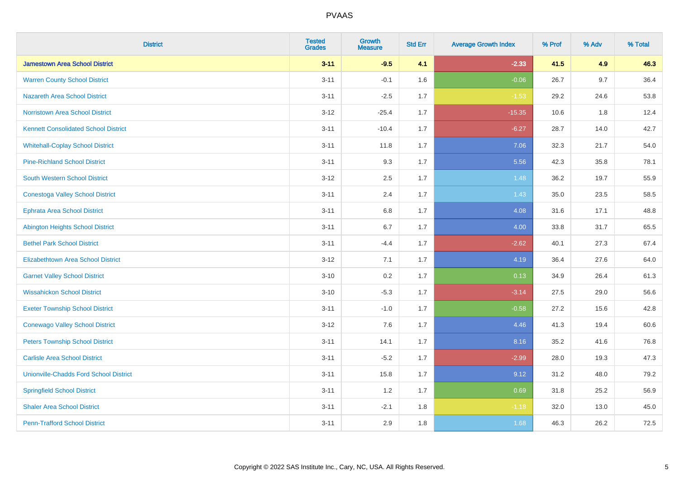| <b>District</b>                               | <b>Tested</b><br><b>Grades</b> | <b>Growth</b><br><b>Measure</b> | <b>Std Err</b> | <b>Average Growth Index</b> | % Prof | % Adv   | % Total |
|-----------------------------------------------|--------------------------------|---------------------------------|----------------|-----------------------------|--------|---------|---------|
| <b>Jamestown Area School District</b>         | $3 - 11$                       | $-9.5$                          | 4.1            | $-2.33$                     | 41.5   | 4.9     | 46.3    |
| <b>Warren County School District</b>          | $3 - 11$                       | $-0.1$                          | 1.6            | $-0.06$                     | 26.7   | $9.7\,$ | 36.4    |
| <b>Nazareth Area School District</b>          | $3 - 11$                       | $-2.5$                          | 1.7            | $-1.53$                     | 29.2   | 24.6    | 53.8    |
| <b>Norristown Area School District</b>        | $3-12$                         | $-25.4$                         | 1.7            | $-15.35$                    | 10.6   | 1.8     | 12.4    |
| <b>Kennett Consolidated School District</b>   | $3 - 11$                       | $-10.4$                         | 1.7            | $-6.27$                     | 28.7   | 14.0    | 42.7    |
| <b>Whitehall-Coplay School District</b>       | $3 - 11$                       | 11.8                            | 1.7            | 7.06                        | 32.3   | 21.7    | 54.0    |
| <b>Pine-Richland School District</b>          | $3 - 11$                       | 9.3                             | 1.7            | 5.56                        | 42.3   | 35.8    | 78.1    |
| <b>South Western School District</b>          | $3 - 12$                       | 2.5                             | 1.7            | 1.48                        | 36.2   | 19.7    | 55.9    |
| <b>Conestoga Valley School District</b>       | $3 - 11$                       | 2.4                             | 1.7            | 1.43                        | 35.0   | 23.5    | 58.5    |
| <b>Ephrata Area School District</b>           | $3 - 11$                       | 6.8                             | 1.7            | 4.08                        | 31.6   | 17.1    | 48.8    |
| <b>Abington Heights School District</b>       | $3 - 11$                       | 6.7                             | 1.7            | 4.00                        | 33.8   | 31.7    | 65.5    |
| <b>Bethel Park School District</b>            | $3 - 11$                       | $-4.4$                          | 1.7            | $-2.62$                     | 40.1   | 27.3    | 67.4    |
| <b>Elizabethtown Area School District</b>     | $3 - 12$                       | 7.1                             | 1.7            | 4.19                        | 36.4   | 27.6    | 64.0    |
| <b>Garnet Valley School District</b>          | $3 - 10$                       | 0.2                             | 1.7            | 0.13                        | 34.9   | 26.4    | 61.3    |
| <b>Wissahickon School District</b>            | $3 - 10$                       | $-5.3$                          | 1.7            | $-3.14$                     | 27.5   | 29.0    | 56.6    |
| <b>Exeter Township School District</b>        | $3 - 11$                       | $-1.0$                          | 1.7            | $-0.58$                     | 27.2   | 15.6    | 42.8    |
| <b>Conewago Valley School District</b>        | $3 - 12$                       | 7.6                             | 1.7            | 4.46                        | 41.3   | 19.4    | 60.6    |
| <b>Peters Township School District</b>        | $3 - 11$                       | 14.1                            | 1.7            | 8.16                        | 35.2   | 41.6    | 76.8    |
| <b>Carlisle Area School District</b>          | $3 - 11$                       | $-5.2$                          | 1.7            | $-2.99$                     | 28.0   | 19.3    | 47.3    |
| <b>Unionville-Chadds Ford School District</b> | $3 - 11$                       | 15.8                            | 1.7            | 9.12                        | 31.2   | 48.0    | 79.2    |
| <b>Springfield School District</b>            | $3 - 11$                       | 1.2                             | 1.7            | 0.69                        | 31.8   | 25.2    | 56.9    |
| <b>Shaler Area School District</b>            | $3 - 11$                       | $-2.1$                          | 1.8            | $-1.18$                     | 32.0   | 13.0    | 45.0    |
| <b>Penn-Trafford School District</b>          | $3 - 11$                       | 2.9                             | 1.8            | 1.68                        | 46.3   | 26.2    | 72.5    |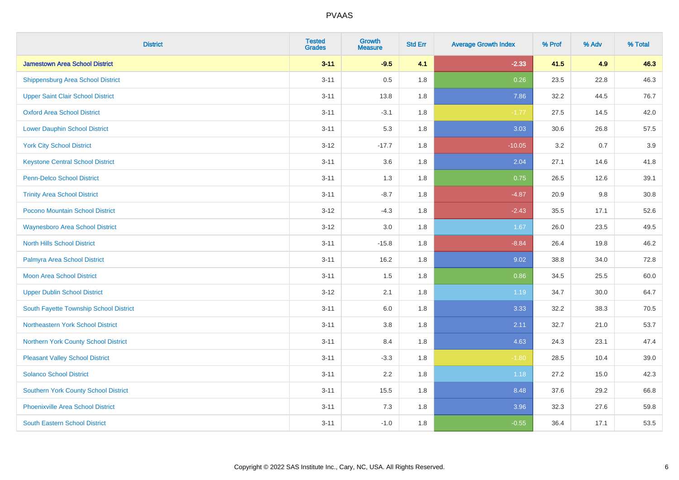| <b>District</b>                             | <b>Tested</b><br><b>Grades</b> | Growth<br><b>Measure</b> | <b>Std Err</b> | <b>Average Growth Index</b> | % Prof | % Adv | % Total |
|---------------------------------------------|--------------------------------|--------------------------|----------------|-----------------------------|--------|-------|---------|
| <b>Jamestown Area School District</b>       | $3 - 11$                       | $-9.5$                   | 4.1            | $-2.33$                     | 41.5   | 4.9   | 46.3    |
| <b>Shippensburg Area School District</b>    | $3 - 11$                       | 0.5                      | 1.8            | 0.26                        | 23.5   | 22.8  | 46.3    |
| <b>Upper Saint Clair School District</b>    | $3 - 11$                       | 13.8                     | 1.8            | 7.86                        | 32.2   | 44.5  | 76.7    |
| <b>Oxford Area School District</b>          | $3 - 11$                       | $-3.1$                   | 1.8            | $-1.77$                     | 27.5   | 14.5  | 42.0    |
| <b>Lower Dauphin School District</b>        | $3 - 11$                       | 5.3                      | 1.8            | 3.03                        | 30.6   | 26.8  | 57.5    |
| <b>York City School District</b>            | $3 - 12$                       | $-17.7$                  | 1.8            | $-10.05$                    | 3.2    | 0.7   | 3.9     |
| <b>Keystone Central School District</b>     | $3 - 11$                       | 3.6                      | 1.8            | 2.04                        | 27.1   | 14.6  | 41.8    |
| <b>Penn-Delco School District</b>           | $3 - 11$                       | 1.3                      | 1.8            | 0.75                        | 26.5   | 12.6  | 39.1    |
| <b>Trinity Area School District</b>         | $3 - 11$                       | $-8.7$                   | 1.8            | $-4.87$                     | 20.9   | 9.8   | 30.8    |
| Pocono Mountain School District             | $3 - 12$                       | $-4.3$                   | 1.8            | $-2.43$                     | 35.5   | 17.1  | 52.6    |
| <b>Waynesboro Area School District</b>      | $3-12$                         | 3.0                      | 1.8            | 1.67                        | 26.0   | 23.5  | 49.5    |
| <b>North Hills School District</b>          | $3 - 11$                       | $-15.8$                  | 1.8            | $-8.84$                     | 26.4   | 19.8  | 46.2    |
| Palmyra Area School District                | $3 - 11$                       | 16.2                     | 1.8            | 9.02                        | 38.8   | 34.0  | 72.8    |
| Moon Area School District                   | $3 - 11$                       | 1.5                      | 1.8            | 0.86                        | 34.5   | 25.5  | 60.0    |
| <b>Upper Dublin School District</b>         | $3 - 12$                       | 2.1                      | 1.8            | 1.19                        | 34.7   | 30.0  | 64.7    |
| South Fayette Township School District      | $3 - 11$                       | $6.0\,$                  | 1.8            | 3.33                        | 32.2   | 38.3  | 70.5    |
| Northeastern York School District           | $3 - 11$                       | 3.8                      | 1.8            | 2.11                        | 32.7   | 21.0  | 53.7    |
| Northern York County School District        | $3 - 11$                       | 8.4                      | 1.8            | 4.63                        | 24.3   | 23.1  | 47.4    |
| <b>Pleasant Valley School District</b>      | $3 - 11$                       | $-3.3$                   | 1.8            | $-1.80$                     | 28.5   | 10.4  | 39.0    |
| <b>Solanco School District</b>              | $3 - 11$                       | 2.2                      | 1.8            | 1.18                        | 27.2   | 15.0  | 42.3    |
| <b>Southern York County School District</b> | $3 - 11$                       | 15.5                     | 1.8            | 8.48                        | 37.6   | 29.2  | 66.8    |
| <b>Phoenixville Area School District</b>    | $3 - 11$                       | 7.3                      | 1.8            | 3.96                        | 32.3   | 27.6  | 59.8    |
| <b>South Eastern School District</b>        | $3 - 11$                       | $-1.0$                   | 1.8            | $-0.55$                     | 36.4   | 17.1  | 53.5    |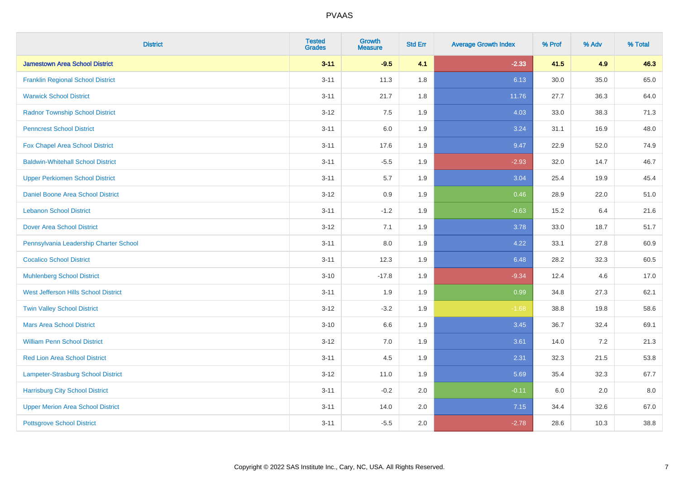| <b>District</b>                           | <b>Tested</b><br><b>Grades</b> | <b>Growth</b><br><b>Measure</b> | <b>Std Err</b> | <b>Average Growth Index</b> | % Prof | % Adv | % Total |
|-------------------------------------------|--------------------------------|---------------------------------|----------------|-----------------------------|--------|-------|---------|
| <b>Jamestown Area School District</b>     | $3 - 11$                       | $-9.5$                          | 4.1            | $-2.33$                     | 41.5   | 4.9   | 46.3    |
| <b>Franklin Regional School District</b>  | $3 - 11$                       | 11.3                            | 1.8            | 6.13                        | 30.0   | 35.0  | 65.0    |
| <b>Warwick School District</b>            | $3 - 11$                       | 21.7                            | 1.8            | 11.76                       | 27.7   | 36.3  | 64.0    |
| <b>Radnor Township School District</b>    | $3 - 12$                       | 7.5                             | 1.9            | 4.03                        | 33.0   | 38.3  | 71.3    |
| <b>Penncrest School District</b>          | $3 - 11$                       | 6.0                             | 1.9            | 3.24                        | 31.1   | 16.9  | 48.0    |
| Fox Chapel Area School District           | $3 - 11$                       | 17.6                            | 1.9            | 9.47                        | 22.9   | 52.0  | 74.9    |
| <b>Baldwin-Whitehall School District</b>  | $3 - 11$                       | $-5.5$                          | 1.9            | $-2.93$                     | 32.0   | 14.7  | 46.7    |
| <b>Upper Perkiomen School District</b>    | $3 - 11$                       | 5.7                             | 1.9            | 3.04                        | 25.4   | 19.9  | 45.4    |
| Daniel Boone Area School District         | $3 - 12$                       | $0.9\,$                         | 1.9            | 0.46                        | 28.9   | 22.0  | 51.0    |
| <b>Lebanon School District</b>            | $3 - 11$                       | $-1.2$                          | 1.9            | $-0.63$                     | 15.2   | 6.4   | 21.6    |
| <b>Dover Area School District</b>         | $3 - 12$                       | 7.1                             | 1.9            | 3.78                        | 33.0   | 18.7  | 51.7    |
| Pennsylvania Leadership Charter School    | $3 - 11$                       | 8.0                             | 1.9            | 4.22                        | 33.1   | 27.8  | 60.9    |
| <b>Cocalico School District</b>           | $3 - 11$                       | 12.3                            | 1.9            | 6.48                        | 28.2   | 32.3  | 60.5    |
| <b>Muhlenberg School District</b>         | $3 - 10$                       | $-17.8$                         | 1.9            | $-9.34$                     | 12.4   | 4.6   | 17.0    |
| West Jefferson Hills School District      | $3 - 11$                       | 1.9                             | 1.9            | 0.99                        | 34.8   | 27.3  | 62.1    |
| <b>Twin Valley School District</b>        | $3 - 12$                       | $-3.2$                          | 1.9            | $-1.68$                     | 38.8   | 19.8  | 58.6    |
| <b>Mars Area School District</b>          | $3 - 10$                       | 6.6                             | 1.9            | 3.45                        | 36.7   | 32.4  | 69.1    |
| <b>William Penn School District</b>       | $3 - 12$                       | 7.0                             | 1.9            | 3.61                        | 14.0   | 7.2   | 21.3    |
| Red Lion Area School District             | $3 - 11$                       | 4.5                             | 1.9            | 2.31                        | 32.3   | 21.5  | 53.8    |
| <b>Lampeter-Strasburg School District</b> | $3 - 12$                       | 11.0                            | 1.9            | 5.69                        | 35.4   | 32.3  | 67.7    |
| <b>Harrisburg City School District</b>    | $3 - 11$                       | $-0.2$                          | 2.0            | $-0.11$                     | 6.0    | 2.0   | 8.0     |
| <b>Upper Merion Area School District</b>  | $3 - 11$                       | 14.0                            | 2.0            | 7.15                        | 34.4   | 32.6  | 67.0    |
| <b>Pottsgrove School District</b>         | $3 - 11$                       | $-5.5$                          | 2.0            | $-2.78$                     | 28.6   | 10.3  | 38.8    |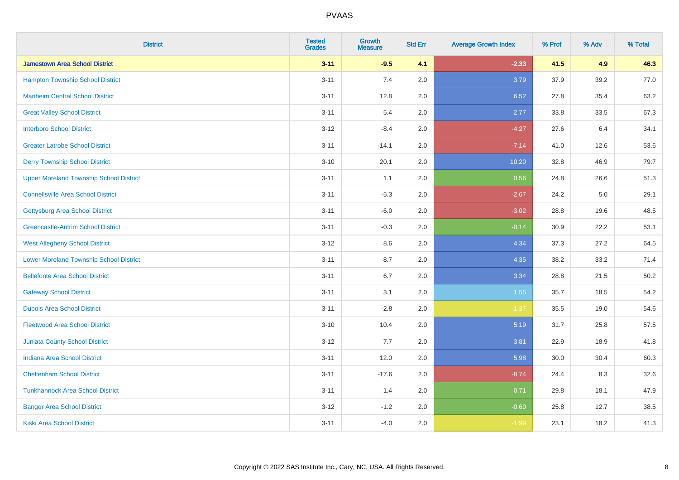| <b>District</b>                                | <b>Tested</b><br><b>Grades</b> | <b>Growth</b><br><b>Measure</b> | <b>Std Err</b> | <b>Average Growth Index</b> | % Prof | % Adv | % Total |
|------------------------------------------------|--------------------------------|---------------------------------|----------------|-----------------------------|--------|-------|---------|
| <b>Jamestown Area School District</b>          | $3 - 11$                       | $-9.5$                          | 4.1            | $-2.33$                     | 41.5   | 4.9   | 46.3    |
| <b>Hampton Township School District</b>        | $3 - 11$                       | 7.4                             | 2.0            | 3.79                        | 37.9   | 39.2  | 77.0    |
| <b>Manheim Central School District</b>         | $3 - 11$                       | 12.8                            | 2.0            | 6.52                        | 27.8   | 35.4  | 63.2    |
| <b>Great Valley School District</b>            | $3 - 11$                       | 5.4                             | 2.0            | 2.77                        | 33.8   | 33.5  | 67.3    |
| <b>Interboro School District</b>               | $3 - 12$                       | $-8.4$                          | 2.0            | $-4.27$                     | 27.6   | 6.4   | 34.1    |
| <b>Greater Latrobe School District</b>         | $3 - 11$                       | $-14.1$                         | 2.0            | $-7.14$                     | 41.0   | 12.6  | 53.6    |
| <b>Derry Township School District</b>          | $3 - 10$                       | 20.1                            | 2.0            | 10.20                       | 32.8   | 46.9  | 79.7    |
| <b>Upper Moreland Township School District</b> | $3 - 11$                       | 1.1                             | 2.0            | 0.56                        | 24.8   | 26.6  | 51.3    |
| <b>Connellsville Area School District</b>      | $3 - 11$                       | $-5.3$                          | 2.0            | $-2.67$                     | 24.2   | 5.0   | 29.1    |
| <b>Gettysburg Area School District</b>         | $3 - 11$                       | $-6.0$                          | 2.0            | $-3.02$                     | 28.8   | 19.6  | 48.5    |
| <b>Greencastle-Antrim School District</b>      | $3 - 11$                       | $-0.3$                          | 2.0            | $-0.14$                     | 30.9   | 22.2  | 53.1    |
| <b>West Allegheny School District</b>          | $3 - 12$                       | 8.6                             | 2.0            | 4.34                        | 37.3   | 27.2  | 64.5    |
| <b>Lower Moreland Township School District</b> | $3 - 11$                       | 8.7                             | 2.0            | 4.35                        | 38.2   | 33.2  | 71.4    |
| <b>Bellefonte Area School District</b>         | $3 - 11$                       | $6.7\,$                         | 2.0            | 3.34                        | 28.8   | 21.5  | 50.2    |
| <b>Gateway School District</b>                 | $3 - 11$                       | 3.1                             | 2.0            | 1.55                        | 35.7   | 18.5  | 54.2    |
| <b>Dubois Area School District</b>             | $3 - 11$                       | $-2.8$                          | 2.0            | $-1.37$                     | 35.5   | 19.0  | 54.6    |
| <b>Fleetwood Area School District</b>          | $3 - 10$                       | 10.4                            | 2.0            | 5.19                        | 31.7   | 25.8  | 57.5    |
| <b>Juniata County School District</b>          | $3 - 12$                       | 7.7                             | 2.0            | 3.81                        | 22.9   | 18.9  | 41.8    |
| <b>Indiana Area School District</b>            | $3 - 11$                       | 12.0                            | 2.0            | 5.98                        | 30.0   | 30.4  | 60.3    |
| <b>Cheltenham School District</b>              | $3 - 11$                       | $-17.6$                         | 2.0            | $-8.74$                     | 24.4   | 8.3   | 32.6    |
| <b>Tunkhannock Area School District</b>        | $3 - 11$                       | 1.4                             | 2.0            | 0.71                        | 29.8   | 18.1  | 47.9    |
| <b>Bangor Area School District</b>             | $3 - 12$                       | $-1.2$                          | 2.0            | $-0.60$                     | 25.8   | 12.7  | 38.5    |
| Kiski Area School District                     | $3 - 11$                       | $-4.0$                          | 2.0            | $-1.99$                     | 23.1   | 18.2  | 41.3    |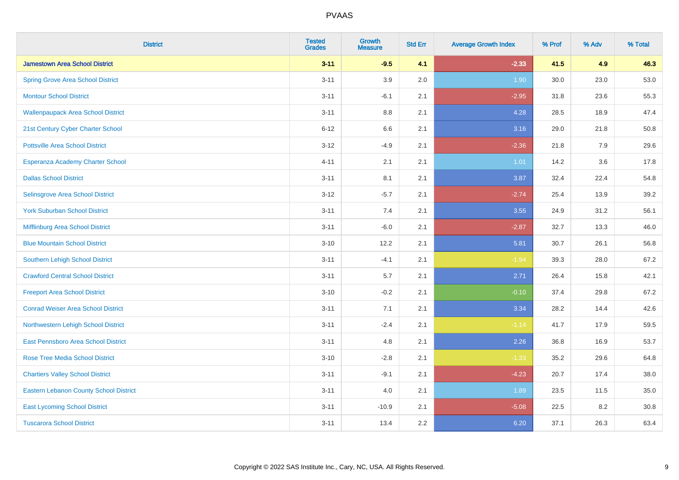| <b>District</b>                               | <b>Tested</b><br><b>Grades</b> | <b>Growth</b><br><b>Measure</b> | <b>Std Err</b> | <b>Average Growth Index</b> | % Prof | % Adv | % Total |
|-----------------------------------------------|--------------------------------|---------------------------------|----------------|-----------------------------|--------|-------|---------|
| <b>Jamestown Area School District</b>         | $3 - 11$                       | $-9.5$                          | 4.1            | $-2.33$                     | 41.5   | 4.9   | 46.3    |
| <b>Spring Grove Area School District</b>      | $3 - 11$                       | 3.9                             | 2.0            | 1.90                        | 30.0   | 23.0  | 53.0    |
| <b>Montour School District</b>                | $3 - 11$                       | $-6.1$                          | 2.1            | $-2.95$                     | 31.8   | 23.6  | 55.3    |
| <b>Wallenpaupack Area School District</b>     | $3 - 11$                       | $8.8\,$                         | 2.1            | 4.28                        | 28.5   | 18.9  | 47.4    |
| 21st Century Cyber Charter School             | $6 - 12$                       | 6.6                             | 2.1            | 3.16                        | 29.0   | 21.8  | 50.8    |
| <b>Pottsville Area School District</b>        | $3 - 12$                       | $-4.9$                          | 2.1            | $-2.36$                     | 21.8   | 7.9   | 29.6    |
| Esperanza Academy Charter School              | $4 - 11$                       | 2.1                             | 2.1            | 1.01                        | 14.2   | 3.6   | 17.8    |
| <b>Dallas School District</b>                 | $3 - 11$                       | 8.1                             | 2.1            | 3.87                        | 32.4   | 22.4  | 54.8    |
| Selinsgrove Area School District              | $3 - 12$                       | $-5.7$                          | 2.1            | $-2.74$                     | 25.4   | 13.9  | 39.2    |
| <b>York Suburban School District</b>          | $3 - 11$                       | 7.4                             | 2.1            | 3.55                        | 24.9   | 31.2  | 56.1    |
| Mifflinburg Area School District              | $3 - 11$                       | $-6.0$                          | 2.1            | $-2.87$                     | 32.7   | 13.3  | 46.0    |
| <b>Blue Mountain School District</b>          | $3 - 10$                       | 12.2                            | 2.1            | 5.81                        | 30.7   | 26.1  | 56.8    |
| <b>Southern Lehigh School District</b>        | $3 - 11$                       | $-4.1$                          | 2.1            | $-1.94$                     | 39.3   | 28.0  | 67.2    |
| <b>Crawford Central School District</b>       | $3 - 11$                       | 5.7                             | 2.1            | 2.71                        | 26.4   | 15.8  | 42.1    |
| <b>Freeport Area School District</b>          | $3 - 10$                       | $-0.2$                          | 2.1            | $-0.10$                     | 37.4   | 29.8  | 67.2    |
| <b>Conrad Weiser Area School District</b>     | $3 - 11$                       | 7.1                             | 2.1            | 3.34                        | 28.2   | 14.4  | 42.6    |
| Northwestern Lehigh School District           | $3 - 11$                       | $-2.4$                          | 2.1            | $-1.14$                     | 41.7   | 17.9  | 59.5    |
| East Pennsboro Area School District           | $3 - 11$                       | 4.8                             | 2.1            | 2.26                        | 36.8   | 16.9  | 53.7    |
| <b>Rose Tree Media School District</b>        | $3 - 10$                       | $-2.8$                          | 2.1            | $-1.33$                     | 35.2   | 29.6  | 64.8    |
| <b>Chartiers Valley School District</b>       | $3 - 11$                       | $-9.1$                          | 2.1            | $-4.23$                     | 20.7   | 17.4  | 38.0    |
| <b>Eastern Lebanon County School District</b> | $3 - 11$                       | 4.0                             | 2.1            | 1.89                        | 23.5   | 11.5  | 35.0    |
| <b>East Lycoming School District</b>          | $3 - 11$                       | $-10.9$                         | 2.1            | $-5.08$                     | 22.5   | 8.2   | 30.8    |
| <b>Tuscarora School District</b>              | $3 - 11$                       | 13.4                            | 2.2            | 6.20                        | 37.1   | 26.3  | 63.4    |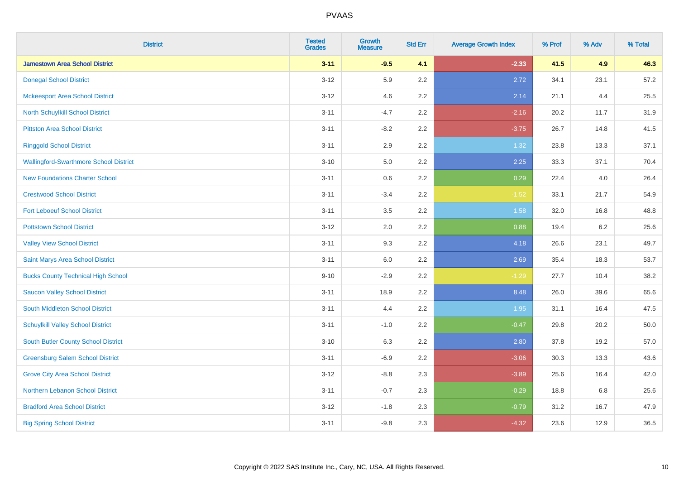| <b>District</b>                               | <b>Tested</b><br><b>Grades</b> | <b>Growth</b><br><b>Measure</b> | <b>Std Err</b> | <b>Average Growth Index</b> | % Prof | % Adv | % Total |
|-----------------------------------------------|--------------------------------|---------------------------------|----------------|-----------------------------|--------|-------|---------|
| <b>Jamestown Area School District</b>         | $3 - 11$                       | $-9.5$                          | 4.1            | $-2.33$                     | 41.5   | 4.9   | 46.3    |
| <b>Donegal School District</b>                | $3 - 12$                       | 5.9                             | 2.2            | 2.72                        | 34.1   | 23.1  | 57.2    |
| <b>Mckeesport Area School District</b>        | $3 - 12$                       | 4.6                             | 2.2            | 2.14                        | 21.1   | 4.4   | 25.5    |
| North Schuylkill School District              | $3 - 11$                       | $-4.7$                          | 2.2            | $-2.16$                     | 20.2   | 11.7  | 31.9    |
| <b>Pittston Area School District</b>          | $3 - 11$                       | $-8.2$                          | 2.2            | $-3.75$                     | 26.7   | 14.8  | 41.5    |
| <b>Ringgold School District</b>               | $3 - 11$                       | 2.9                             | 2.2            | 1.32                        | 23.8   | 13.3  | 37.1    |
| <b>Wallingford-Swarthmore School District</b> | $3 - 10$                       | 5.0                             | 2.2            | 2.25                        | 33.3   | 37.1  | 70.4    |
| <b>New Foundations Charter School</b>         | $3 - 11$                       | 0.6                             | 2.2            | 0.29                        | 22.4   | 4.0   | 26.4    |
| <b>Crestwood School District</b>              | $3 - 11$                       | $-3.4$                          | 2.2            | $-1.52$                     | 33.1   | 21.7  | 54.9    |
| <b>Fort Leboeuf School District</b>           | $3 - 11$                       | 3.5                             | 2.2            | 1.58                        | 32.0   | 16.8  | 48.8    |
| <b>Pottstown School District</b>              | $3 - 12$                       | 2.0                             | 2.2            | 0.88                        | 19.4   | 6.2   | 25.6    |
| <b>Valley View School District</b>            | $3 - 11$                       | 9.3                             | 2.2            | 4.18                        | 26.6   | 23.1  | 49.7    |
| Saint Marys Area School District              | $3 - 11$                       | $6.0\,$                         | 2.2            | 2.69                        | 35.4   | 18.3  | 53.7    |
| <b>Bucks County Technical High School</b>     | $9 - 10$                       | $-2.9$                          | 2.2            | $-1.29$                     | 27.7   | 10.4  | 38.2    |
| <b>Saucon Valley School District</b>          | $3 - 11$                       | 18.9                            | 2.2            | 8.48                        | 26.0   | 39.6  | 65.6    |
| South Middleton School District               | $3 - 11$                       | 4.4                             | 2.2            | 1.95                        | 31.1   | 16.4  | 47.5    |
| <b>Schuylkill Valley School District</b>      | $3 - 11$                       | $-1.0$                          | 2.2            | $-0.47$                     | 29.8   | 20.2  | 50.0    |
| South Butler County School District           | $3 - 10$                       | 6.3                             | 2.2            | 2.80                        | 37.8   | 19.2  | 57.0    |
| <b>Greensburg Salem School District</b>       | $3 - 11$                       | $-6.9$                          | 2.2            | $-3.06$                     | 30.3   | 13.3  | 43.6    |
| <b>Grove City Area School District</b>        | $3 - 12$                       | $-8.8$                          | 2.3            | $-3.89$                     | 25.6   | 16.4  | 42.0    |
| Northern Lebanon School District              | $3 - 11$                       | $-0.7$                          | 2.3            | $-0.29$                     | 18.8   | 6.8   | 25.6    |
| <b>Bradford Area School District</b>          | $3-12$                         | $-1.8$                          | 2.3            | $-0.79$                     | 31.2   | 16.7  | 47.9    |
| <b>Big Spring School District</b>             | $3 - 11$                       | $-9.8$                          | 2.3            | $-4.32$                     | 23.6   | 12.9  | 36.5    |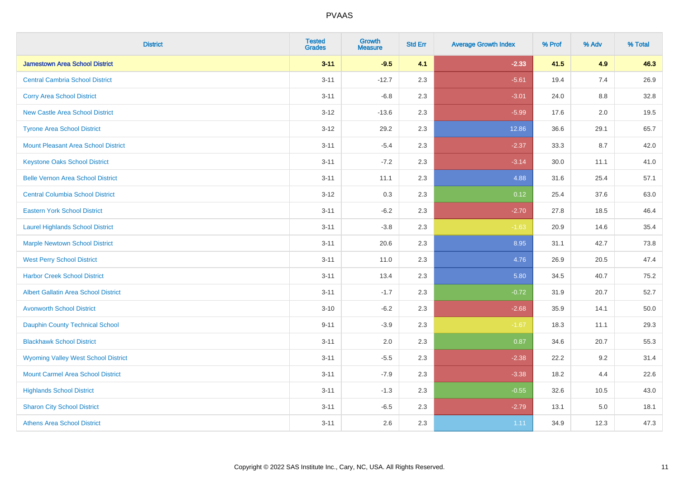| <b>District</b>                             | <b>Tested</b><br><b>Grades</b> | <b>Growth</b><br><b>Measure</b> | <b>Std Err</b> | <b>Average Growth Index</b> | % Prof | % Adv | % Total |
|---------------------------------------------|--------------------------------|---------------------------------|----------------|-----------------------------|--------|-------|---------|
| <b>Jamestown Area School District</b>       | $3 - 11$                       | $-9.5$                          | 4.1            | $-2.33$                     | 41.5   | 4.9   | 46.3    |
| <b>Central Cambria School District</b>      | $3 - 11$                       | $-12.7$                         | 2.3            | $-5.61$                     | 19.4   | 7.4   | 26.9    |
| <b>Corry Area School District</b>           | $3 - 11$                       | $-6.8$                          | 2.3            | $-3.01$                     | 24.0   | 8.8   | 32.8    |
| <b>New Castle Area School District</b>      | $3 - 12$                       | $-13.6$                         | 2.3            | $-5.99$                     | 17.6   | 2.0   | 19.5    |
| <b>Tyrone Area School District</b>          | $3-12$                         | 29.2                            | 2.3            | 12.86                       | 36.6   | 29.1  | 65.7    |
| <b>Mount Pleasant Area School District</b>  | $3 - 11$                       | $-5.4$                          | 2.3            | $-2.37$                     | 33.3   | 8.7   | 42.0    |
| <b>Keystone Oaks School District</b>        | $3 - 11$                       | $-7.2$                          | 2.3            | $-3.14$                     | 30.0   | 11.1  | 41.0    |
| <b>Belle Vernon Area School District</b>    | $3 - 11$                       | 11.1                            | 2.3            | 4.88                        | 31.6   | 25.4  | 57.1    |
| <b>Central Columbia School District</b>     | $3-12$                         | 0.3                             | 2.3            | 0.12                        | 25.4   | 37.6  | 63.0    |
| <b>Eastern York School District</b>         | $3 - 11$                       | $-6.2$                          | 2.3            | $-2.70$                     | 27.8   | 18.5  | 46.4    |
| <b>Laurel Highlands School District</b>     | $3 - 11$                       | $-3.8$                          | 2.3            | $-1.63$                     | 20.9   | 14.6  | 35.4    |
| <b>Marple Newtown School District</b>       | $3 - 11$                       | 20.6                            | 2.3            | 8.95                        | 31.1   | 42.7  | 73.8    |
| <b>West Perry School District</b>           | $3 - 11$                       | 11.0                            | 2.3            | 4.76                        | 26.9   | 20.5  | 47.4    |
| <b>Harbor Creek School District</b>         | $3 - 11$                       | 13.4                            | 2.3            | 5.80                        | 34.5   | 40.7  | 75.2    |
| <b>Albert Gallatin Area School District</b> | $3 - 11$                       | $-1.7$                          | 2.3            | $-0.72$                     | 31.9   | 20.7  | 52.7    |
| <b>Avonworth School District</b>            | $3 - 10$                       | $-6.2$                          | 2.3            | $-2.68$                     | 35.9   | 14.1  | 50.0    |
| Dauphin County Technical School             | $9 - 11$                       | $-3.9$                          | 2.3            | $-1.67$                     | 18.3   | 11.1  | 29.3    |
| <b>Blackhawk School District</b>            | $3 - 11$                       | 2.0                             | 2.3            | 0.87                        | 34.6   | 20.7  | 55.3    |
| <b>Wyoming Valley West School District</b>  | $3 - 11$                       | $-5.5$                          | 2.3            | $-2.38$                     | 22.2   | 9.2   | 31.4    |
| <b>Mount Carmel Area School District</b>    | $3 - 11$                       | $-7.9$                          | 2.3            | $-3.38$                     | 18.2   | 4.4   | 22.6    |
| <b>Highlands School District</b>            | $3 - 11$                       | $-1.3$                          | 2.3            | $-0.55$                     | 32.6   | 10.5  | 43.0    |
| <b>Sharon City School District</b>          | $3 - 11$                       | $-6.5$                          | 2.3            | $-2.79$                     | 13.1   | 5.0   | 18.1    |
| <b>Athens Area School District</b>          | $3 - 11$                       | 2.6                             | 2.3            | 1.11                        | 34.9   | 12.3  | 47.3    |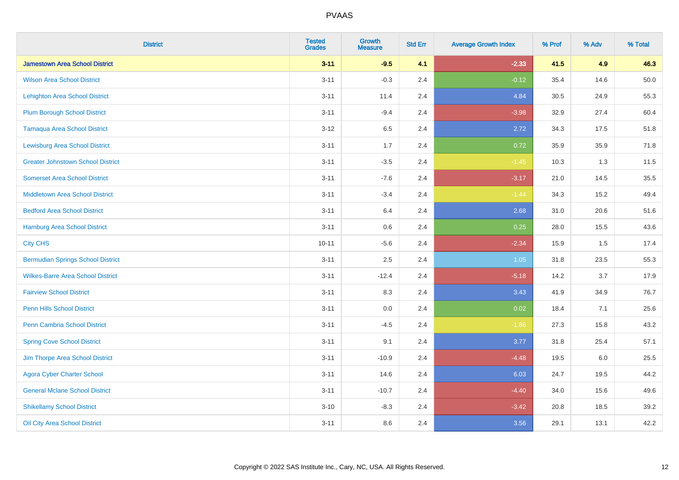| <b>District</b>                          | <b>Tested</b><br><b>Grades</b> | <b>Growth</b><br><b>Measure</b> | <b>Std Err</b> | <b>Average Growth Index</b> | % Prof | % Adv | % Total |
|------------------------------------------|--------------------------------|---------------------------------|----------------|-----------------------------|--------|-------|---------|
| <b>Jamestown Area School District</b>    | $3 - 11$                       | $-9.5$                          | 4.1            | $-2.33$                     | 41.5   | 4.9   | 46.3    |
| <b>Wilson Area School District</b>       | $3 - 11$                       | $-0.3$                          | 2.4            | $-0.12$                     | 35.4   | 14.6  | 50.0    |
| <b>Lehighton Area School District</b>    | $3 - 11$                       | 11.4                            | 2.4            | 4.84                        | 30.5   | 24.9  | 55.3    |
| <b>Plum Borough School District</b>      | $3 - 11$                       | $-9.4$                          | 2.4            | $-3.98$                     | 32.9   | 27.4  | 60.4    |
| <b>Tamaqua Area School District</b>      | $3-12$                         | 6.5                             | 2.4            | 2.72                        | 34.3   | 17.5  | 51.8    |
| <b>Lewisburg Area School District</b>    | $3 - 11$                       | 1.7                             | 2.4            | 0.72                        | 35.9   | 35.9  | 71.8    |
| <b>Greater Johnstown School District</b> | $3 - 11$                       | $-3.5$                          | 2.4            | $-1.45$                     | 10.3   | 1.3   | 11.5    |
| <b>Somerset Area School District</b>     | $3 - 11$                       | $-7.6$                          | 2.4            | $-3.17$                     | 21.0   | 14.5  | 35.5    |
| <b>Middletown Area School District</b>   | $3 - 11$                       | $-3.4$                          | 2.4            | $-1.44$                     | 34.3   | 15.2  | 49.4    |
| <b>Bedford Area School District</b>      | $3 - 11$                       | 6.4                             | 2.4            | 2.68                        | 31.0   | 20.6  | 51.6    |
| Hamburg Area School District             | $3 - 11$                       | 0.6                             | 2.4            | 0.25                        | 28.0   | 15.5  | 43.6    |
| <b>City CHS</b>                          | $10 - 11$                      | $-5.6$                          | 2.4            | $-2.34$                     | 15.9   | 1.5   | 17.4    |
| <b>Bermudian Springs School District</b> | $3 - 11$                       | 2.5                             | 2.4            | 1.05                        | 31.8   | 23.5  | 55.3    |
| <b>Wilkes-Barre Area School District</b> | $3 - 11$                       | $-12.4$                         | 2.4            | $-5.18$                     | 14.2   | 3.7   | 17.9    |
| <b>Fairview School District</b>          | $3 - 11$                       | 8.3                             | 2.4            | 3.43                        | 41.9   | 34.9  | 76.7    |
| Penn Hills School District               | $3 - 11$                       | 0.0                             | 2.4            | 0.02                        | 18.4   | 7.1   | 25.6    |
| <b>Penn Cambria School District</b>      | $3 - 11$                       | $-4.5$                          | 2.4            | $-1.86$                     | 27.3   | 15.8  | 43.2    |
| <b>Spring Cove School District</b>       | $3 - 11$                       | 9.1                             | 2.4            | 3.77                        | 31.8   | 25.4  | 57.1    |
| Jim Thorpe Area School District          | $3 - 11$                       | $-10.9$                         | 2.4            | $-4.48$                     | 19.5   | 6.0   | 25.5    |
| <b>Agora Cyber Charter School</b>        | $3 - 11$                       | 14.6                            | 2.4            | 6.03                        | 24.7   | 19.5  | 44.2    |
| <b>General Mclane School District</b>    | $3 - 11$                       | $-10.7$                         | 2.4            | $-4.40$                     | 34.0   | 15.6  | 49.6    |
| <b>Shikellamy School District</b>        | $3 - 10$                       | $-8.3$                          | 2.4            | $-3.42$                     | 20.8   | 18.5  | 39.2    |
| Oil City Area School District            | $3 - 11$                       | 8.6                             | 2.4            | 3.56                        | 29.1   | 13.1  | 42.2    |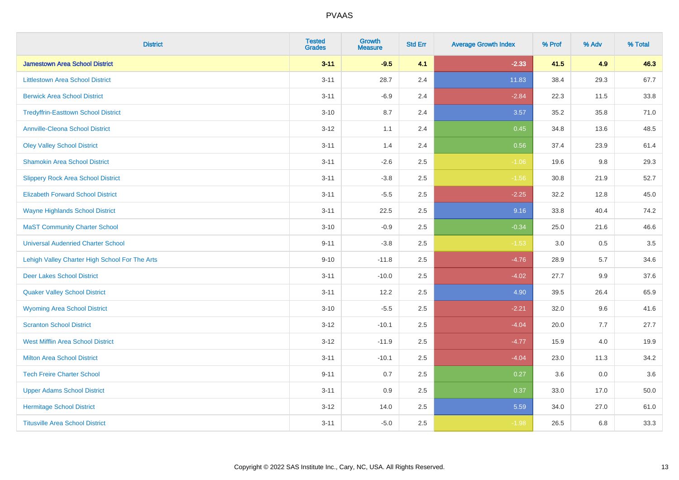| <b>District</b>                                | <b>Tested</b><br><b>Grades</b> | <b>Growth</b><br><b>Measure</b> | <b>Std Err</b> | <b>Average Growth Index</b> | % Prof | % Adv | % Total |
|------------------------------------------------|--------------------------------|---------------------------------|----------------|-----------------------------|--------|-------|---------|
| <b>Jamestown Area School District</b>          | $3 - 11$                       | $-9.5$                          | 4.1            | $-2.33$                     | 41.5   | 4.9   | 46.3    |
| <b>Littlestown Area School District</b>        | $3 - 11$                       | 28.7                            | 2.4            | 11.83                       | 38.4   | 29.3  | 67.7    |
| <b>Berwick Area School District</b>            | $3 - 11$                       | $-6.9$                          | 2.4            | $-2.84$                     | 22.3   | 11.5  | 33.8    |
| <b>Tredyffrin-Easttown School District</b>     | $3 - 10$                       | 8.7                             | 2.4            | 3.57                        | 35.2   | 35.8  | 71.0    |
| <b>Annville-Cleona School District</b>         | $3 - 12$                       | 1.1                             | 2.4            | 0.45                        | 34.8   | 13.6  | 48.5    |
| <b>Oley Valley School District</b>             | $3 - 11$                       | 1.4                             | 2.4            | 0.56                        | 37.4   | 23.9  | 61.4    |
| <b>Shamokin Area School District</b>           | $3 - 11$                       | $-2.6$                          | 2.5            | $-1.06$                     | 19.6   | 9.8   | 29.3    |
| <b>Slippery Rock Area School District</b>      | $3 - 11$                       | $-3.8$                          | 2.5            | $-1.56$                     | 30.8   | 21.9  | 52.7    |
| <b>Elizabeth Forward School District</b>       | $3 - 11$                       | $-5.5$                          | 2.5            | $-2.25$                     | 32.2   | 12.8  | 45.0    |
| <b>Wayne Highlands School District</b>         | $3 - 11$                       | 22.5                            | 2.5            | 9.16                        | 33.8   | 40.4  | 74.2    |
| <b>MaST Community Charter School</b>           | $3 - 10$                       | $-0.9$                          | 2.5            | $-0.34$                     | 25.0   | 21.6  | 46.6    |
| <b>Universal Audenried Charter School</b>      | $9 - 11$                       | $-3.8$                          | 2.5            | $-1.53$                     | 3.0    | 0.5   | 3.5     |
| Lehigh Valley Charter High School For The Arts | $9 - 10$                       | $-11.8$                         | 2.5            | $-4.76$                     | 28.9   | 5.7   | 34.6    |
| <b>Deer Lakes School District</b>              | $3 - 11$                       | $-10.0$                         | 2.5            | $-4.02$                     | 27.7   | 9.9   | 37.6    |
| <b>Quaker Valley School District</b>           | $3 - 11$                       | 12.2                            | 2.5            | 4.90                        | 39.5   | 26.4  | 65.9    |
| <b>Wyoming Area School District</b>            | $3 - 10$                       | $-5.5$                          | 2.5            | $-2.21$                     | 32.0   | 9.6   | 41.6    |
| <b>Scranton School District</b>                | $3 - 12$                       | $-10.1$                         | 2.5            | $-4.04$                     | 20.0   | 7.7   | 27.7    |
| <b>West Mifflin Area School District</b>       | $3 - 12$                       | $-11.9$                         | 2.5            | $-4.77$                     | 15.9   | 4.0   | 19.9    |
| <b>Milton Area School District</b>             | $3 - 11$                       | $-10.1$                         | 2.5            | $-4.04$                     | 23.0   | 11.3  | 34.2    |
| <b>Tech Freire Charter School</b>              | $9 - 11$                       | 0.7                             | 2.5            | 0.27                        | 3.6    | 0.0   | 3.6     |
| <b>Upper Adams School District</b>             | $3 - 11$                       | 0.9                             | 2.5            | 0.37                        | 33.0   | 17.0  | 50.0    |
| <b>Hermitage School District</b>               | $3-12$                         | 14.0                            | 2.5            | 5.59                        | 34.0   | 27.0  | 61.0    |
| <b>Titusville Area School District</b>         | $3 - 11$                       | $-5.0$                          | 2.5            | $-1.98$                     | 26.5   | 6.8   | 33.3    |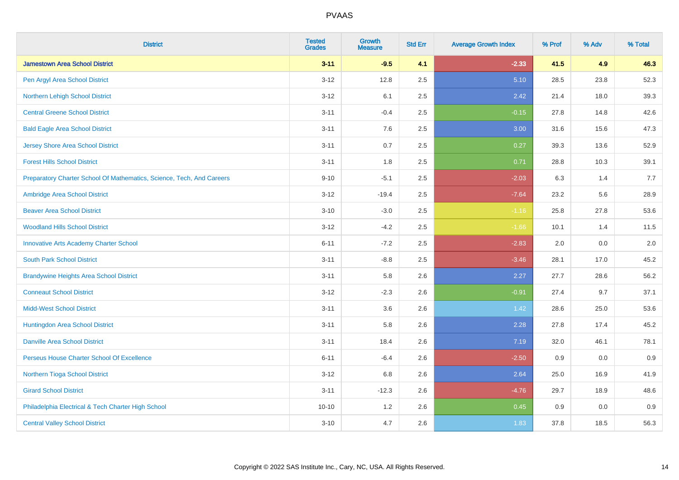| <b>District</b>                                                       | <b>Tested</b><br><b>Grades</b> | <b>Growth</b><br><b>Measure</b> | <b>Std Err</b> | <b>Average Growth Index</b> | % Prof | % Adv | % Total |
|-----------------------------------------------------------------------|--------------------------------|---------------------------------|----------------|-----------------------------|--------|-------|---------|
| <b>Jamestown Area School District</b>                                 | $3 - 11$                       | $-9.5$                          | 4.1            | $-2.33$                     | 41.5   | 4.9   | 46.3    |
| Pen Argyl Area School District                                        | $3 - 12$                       | 12.8                            | 2.5            | 5.10                        | 28.5   | 23.8  | 52.3    |
| Northern Lehigh School District                                       | $3 - 12$                       | 6.1                             | 2.5            | 2.42                        | 21.4   | 18.0  | 39.3    |
| <b>Central Greene School District</b>                                 | $3 - 11$                       | $-0.4$                          | 2.5            | $-0.15$                     | 27.8   | 14.8  | 42.6    |
| <b>Bald Eagle Area School District</b>                                | $3 - 11$                       | 7.6                             | 2.5            | 3.00                        | 31.6   | 15.6  | 47.3    |
| <b>Jersey Shore Area School District</b>                              | $3 - 11$                       | 0.7                             | 2.5            | 0.27                        | 39.3   | 13.6  | 52.9    |
| <b>Forest Hills School District</b>                                   | $3 - 11$                       | 1.8                             | 2.5            | 0.71                        | 28.8   | 10.3  | 39.1    |
| Preparatory Charter School Of Mathematics, Science, Tech, And Careers | $9 - 10$                       | $-5.1$                          | 2.5            | $-2.03$                     | 6.3    | 1.4   | 7.7     |
| Ambridge Area School District                                         | $3 - 12$                       | $-19.4$                         | 2.5            | $-7.64$                     | 23.2   | 5.6   | 28.9    |
| <b>Beaver Area School District</b>                                    | $3 - 10$                       | $-3.0$                          | 2.5            | $-1.16$                     | 25.8   | 27.8  | 53.6    |
| <b>Woodland Hills School District</b>                                 | $3 - 12$                       | $-4.2$                          | 2.5            | $-1.66$                     | 10.1   | 1.4   | 11.5    |
| <b>Innovative Arts Academy Charter School</b>                         | $6 - 11$                       | $-7.2$                          | 2.5            | $-2.83$                     | 2.0    | 0.0   | 2.0     |
| <b>South Park School District</b>                                     | $3 - 11$                       | $-8.8$                          | 2.5            | $-3.46$                     | 28.1   | 17.0  | 45.2    |
| <b>Brandywine Heights Area School District</b>                        | $3 - 11$                       | 5.8                             | 2.6            | 2.27                        | 27.7   | 28.6  | 56.2    |
| <b>Conneaut School District</b>                                       | $3 - 12$                       | $-2.3$                          | 2.6            | $-0.91$                     | 27.4   | 9.7   | 37.1    |
| <b>Midd-West School District</b>                                      | $3 - 11$                       | 3.6                             | 2.6            | 1.42                        | 28.6   | 25.0  | 53.6    |
| Huntingdon Area School District                                       | $3 - 11$                       | 5.8                             | 2.6            | 2.28                        | 27.8   | 17.4  | 45.2    |
| <b>Danville Area School District</b>                                  | $3 - 11$                       | 18.4                            | 2.6            | 7.19                        | 32.0   | 46.1  | 78.1    |
| Perseus House Charter School Of Excellence                            | $6 - 11$                       | $-6.4$                          | 2.6            | $-2.50$                     | 0.9    | 0.0   | 0.9     |
| Northern Tioga School District                                        | $3 - 12$                       | 6.8                             | 2.6            | 2.64                        | 25.0   | 16.9  | 41.9    |
| <b>Girard School District</b>                                         | $3 - 11$                       | $-12.3$                         | 2.6            | $-4.76$                     | 29.7   | 18.9  | 48.6    |
| Philadelphia Electrical & Tech Charter High School                    | $10 - 10$                      | 1.2                             | 2.6            | 0.45                        | 0.9    | 0.0   | 0.9     |
| <b>Central Valley School District</b>                                 | $3 - 10$                       | 4.7                             | 2.6            | 1.83                        | 37.8   | 18.5  | 56.3    |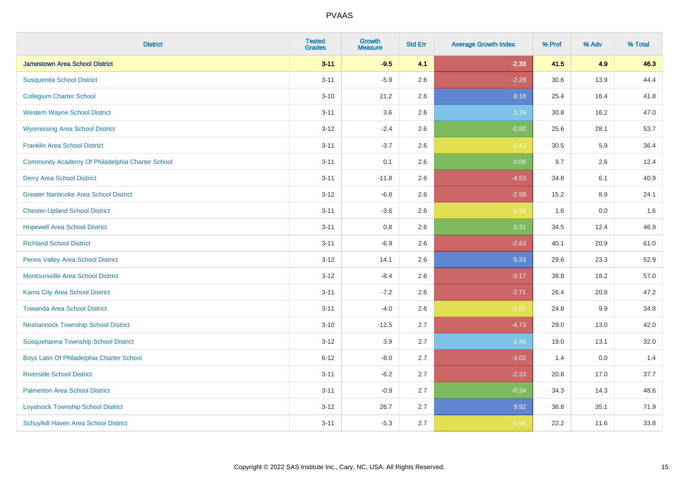| <b>District</b>                                  | <b>Tested</b><br><b>Grades</b> | <b>Growth</b><br><b>Measure</b> | <b>Std Err</b> | <b>Average Growth Index</b> | % Prof | % Adv | % Total |
|--------------------------------------------------|--------------------------------|---------------------------------|----------------|-----------------------------|--------|-------|---------|
| <b>Jamestown Area School District</b>            | $3 - 11$                       | $-9.5$                          | 4.1            | $-2.33$                     | 41.5   | 4.9   | 46.3    |
| <b>Susquenita School District</b>                | $3 - 11$                       | $-5.9$                          | 2.6            | $-2.28$                     | 30.6   | 13.9  | 44.4    |
| <b>Collegium Charter School</b>                  | $3 - 10$                       | 21.2                            | 2.6            | 8.18                        | 25.4   | 16.4  | 41.8    |
| <b>Western Wayne School District</b>             | $3 - 11$                       | 3.6                             | 2.6            | 1.39                        | 30.8   | 16.2  | 47.0    |
| <b>Wyomissing Area School District</b>           | $3 - 12$                       | $-2.4$                          | 2.6            | $-0.92$                     | 25.6   | 28.1  | 53.7    |
| <b>Franklin Area School District</b>             | $3 - 11$                       | $-3.7$                          | 2.6            | $-1.43$                     | 30.5   | 5.9   | 36.4    |
| Community Academy Of Philadelphia Charter School | $3 - 11$                       | 0.1                             | 2.6            | 0.06                        | 9.7    | 2.6   | 12.4    |
| <b>Derry Area School District</b>                | $3 - 11$                       | $-11.8$                         | 2.6            | $-4.53$                     | 34.8   | 6.1   | 40.9    |
| <b>Greater Nanticoke Area School District</b>    | $3 - 12$                       | $-6.8$                          | 2.6            | $-2.58$                     | 15.2   | 8.9   | 24.1    |
| <b>Chester-Upland School District</b>            | $3 - 11$                       | $-3.6$                          | 2.6            | $-1.38$                     | 1.6    | 0.0   | 1.6     |
| <b>Hopewell Area School District</b>             | $3 - 11$                       | 0.8                             | 2.6            | 0.31                        | 34.5   | 12.4  | 46.9    |
| <b>Richland School District</b>                  | $3 - 11$                       | $-6.9$                          | 2.6            | $-2.63$                     | 40.1   | 20.9  | 61.0    |
| Penns Valley Area School District                | $3 - 12$                       | 14.1                            | 2.6            | 5.33                        | 29.6   | 23.3  | 52.9    |
| <b>Montoursville Area School District</b>        | $3 - 12$                       | $-8.4$                          | 2.6            | $-3.17$                     | 38.8   | 18.2  | 57.0    |
| Karns City Area School District                  | $3 - 11$                       | $-7.2$                          | 2.6            | $-2.71$                     | 26.4   | 20.8  | 47.2    |
| <b>Towanda Area School District</b>              | $3 - 11$                       | $-4.0$                          | 2.6            | $-1.52$                     | 24.8   | 9.9   | 34.8    |
| <b>Neshannock Township School District</b>       | $3 - 10$                       | $-12.5$                         | 2.7            | $-4.73$                     | 29.0   | 13.0  | 42.0    |
| Susquehanna Township School District             | $3 - 12$                       | 3.9                             | 2.7            | 1.45                        | 19.0   | 13.1  | 32.0    |
| Boys Latin Of Philadelphia Charter School        | $6 - 12$                       | $-8.0$                          | 2.7            | $-3.02$                     | 1.4    | 0.0   | 1.4     |
| <b>Riverside School District</b>                 | $3 - 11$                       | $-6.2$                          | 2.7            | $-2.33$                     | 20.8   | 17.0  | 37.7    |
| <b>Palmerton Area School District</b>            | $3 - 11$                       | $-0.9$                          | 2.7            | $-0.34$                     | 34.3   | 14.3  | 48.6    |
| <b>Loyalsock Township School District</b>        | $3 - 12$                       | 26.7                            | 2.7            | 9.92                        | 36.8   | 35.1  | 71.9    |
| <b>Schuylkill Haven Area School District</b>     | $3 - 11$                       | $-5.3$                          | 2.7            | $-1.96$                     | 22.2   | 11.6  | 33.8    |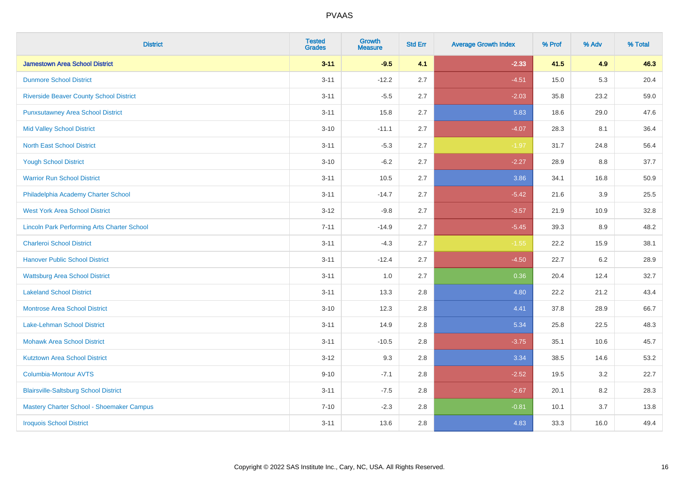| <b>District</b>                                    | <b>Tested</b><br><b>Grades</b> | <b>Growth</b><br><b>Measure</b> | <b>Std Err</b> | <b>Average Growth Index</b> | % Prof | % Adv   | % Total |
|----------------------------------------------------|--------------------------------|---------------------------------|----------------|-----------------------------|--------|---------|---------|
| <b>Jamestown Area School District</b>              | $3 - 11$                       | $-9.5$                          | 4.1            | $-2.33$                     | 41.5   | 4.9     | 46.3    |
| <b>Dunmore School District</b>                     | $3 - 11$                       | $-12.2$                         | 2.7            | $-4.51$                     | 15.0   | 5.3     | 20.4    |
| <b>Riverside Beaver County School District</b>     | $3 - 11$                       | $-5.5$                          | 2.7            | $-2.03$                     | 35.8   | 23.2    | 59.0    |
| <b>Punxsutawney Area School District</b>           | $3 - 11$                       | 15.8                            | 2.7            | 5.83                        | 18.6   | 29.0    | 47.6    |
| <b>Mid Valley School District</b>                  | $3 - 10$                       | $-11.1$                         | 2.7            | $-4.07$                     | 28.3   | 8.1     | 36.4    |
| <b>North East School District</b>                  | $3 - 11$                       | $-5.3$                          | 2.7            | $-1.97$                     | 31.7   | 24.8    | 56.4    |
| <b>Yough School District</b>                       | $3 - 10$                       | $-6.2$                          | 2.7            | $-2.27$                     | 28.9   | 8.8     | 37.7    |
| <b>Warrior Run School District</b>                 | $3 - 11$                       | 10.5                            | 2.7            | 3.86                        | 34.1   | 16.8    | 50.9    |
| Philadelphia Academy Charter School                | $3 - 11$                       | $-14.7$                         | 2.7            | $-5.42$                     | 21.6   | 3.9     | 25.5    |
| <b>West York Area School District</b>              | $3 - 12$                       | $-9.8$                          | 2.7            | $-3.57$                     | 21.9   | 10.9    | 32.8    |
| <b>Lincoln Park Performing Arts Charter School</b> | $7 - 11$                       | $-14.9$                         | 2.7            | $-5.45$                     | 39.3   | 8.9     | 48.2    |
| <b>Charleroi School District</b>                   | $3 - 11$                       | $-4.3$                          | 2.7            | $-1.55$                     | 22.2   | 15.9    | 38.1    |
| <b>Hanover Public School District</b>              | $3 - 11$                       | $-12.4$                         | 2.7            | $-4.50$                     | 22.7   | $6.2\,$ | 28.9    |
| <b>Wattsburg Area School District</b>              | $3 - 11$                       | 1.0                             | 2.7            | 0.36                        | 20.4   | 12.4    | 32.7    |
| <b>Lakeland School District</b>                    | $3 - 11$                       | 13.3                            | 2.8            | 4.80                        | 22.2   | 21.2    | 43.4    |
| <b>Montrose Area School District</b>               | $3 - 10$                       | 12.3                            | 2.8            | 4.41                        | 37.8   | 28.9    | 66.7    |
| Lake-Lehman School District                        | $3 - 11$                       | 14.9                            | 2.8            | 5.34                        | 25.8   | 22.5    | 48.3    |
| <b>Mohawk Area School District</b>                 | $3 - 11$                       | $-10.5$                         | 2.8            | $-3.75$                     | 35.1   | 10.6    | 45.7    |
| <b>Kutztown Area School District</b>               | $3 - 12$                       | 9.3                             | 2.8            | 3.34                        | 38.5   | 14.6    | 53.2    |
| Columbia-Montour AVTS                              | $9 - 10$                       | $-7.1$                          | 2.8            | $-2.52$                     | 19.5   | 3.2     | 22.7    |
| <b>Blairsville-Saltsburg School District</b>       | $3 - 11$                       | $-7.5$                          | 2.8            | $-2.67$                     | 20.1   | 8.2     | 28.3    |
| Mastery Charter School - Shoemaker Campus          | $7 - 10$                       | $-2.3$                          | 2.8            | $-0.81$                     | 10.1   | 3.7     | 13.8    |
| <b>Iroquois School District</b>                    | $3 - 11$                       | 13.6                            | 2.8            | 4.83                        | 33.3   | 16.0    | 49.4    |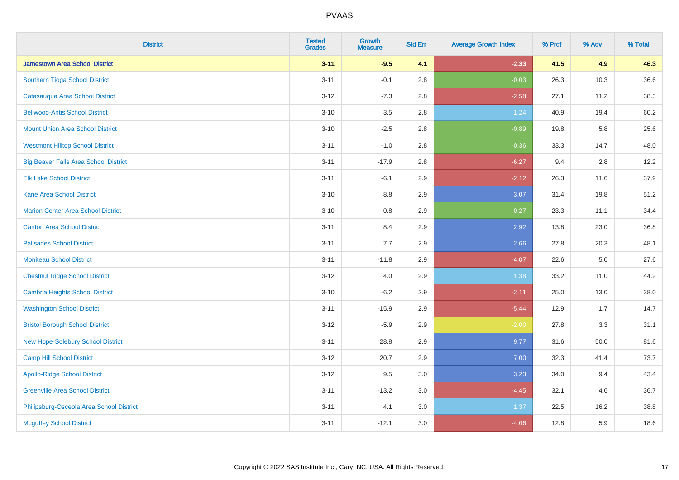| <b>District</b>                              | <b>Tested</b><br><b>Grades</b> | <b>Growth</b><br><b>Measure</b> | <b>Std Err</b> | <b>Average Growth Index</b> | % Prof | % Adv | % Total |
|----------------------------------------------|--------------------------------|---------------------------------|----------------|-----------------------------|--------|-------|---------|
| <b>Jamestown Area School District</b>        | $3 - 11$                       | $-9.5$                          | 4.1            | $-2.33$                     | 41.5   | 4.9   | 46.3    |
| Southern Tioga School District               | $3 - 11$                       | $-0.1$                          | 2.8            | $-0.03$                     | 26.3   | 10.3  | 36.6    |
| Catasauqua Area School District              | $3 - 12$                       | $-7.3$                          | 2.8            | $-2.58$                     | 27.1   | 11.2  | 38.3    |
| <b>Bellwood-Antis School District</b>        | $3 - 10$                       | $3.5\,$                         | 2.8            | 1.24                        | 40.9   | 19.4  | 60.2    |
| <b>Mount Union Area School District</b>      | $3 - 10$                       | $-2.5$                          | 2.8            | $-0.89$                     | 19.8   | 5.8   | 25.6    |
| <b>Westmont Hilltop School District</b>      | $3 - 11$                       | $-1.0$                          | 2.8            | $-0.36$                     | 33.3   | 14.7  | 48.0    |
| <b>Big Beaver Falls Area School District</b> | $3 - 11$                       | $-17.9$                         | 2.8            | $-6.27$                     | 9.4    | 2.8   | 12.2    |
| <b>Elk Lake School District</b>              | $3 - 11$                       | $-6.1$                          | 2.9            | $-2.12$                     | 26.3   | 11.6  | 37.9    |
| <b>Kane Area School District</b>             | $3 - 10$                       | 8.8                             | 2.9            | 3.07                        | 31.4   | 19.8  | 51.2    |
| <b>Marion Center Area School District</b>    | $3 - 10$                       | $0.8\,$                         | 2.9            | 0.27                        | 23.3   | 11.1  | 34.4    |
| <b>Canton Area School District</b>           | $3 - 11$                       | 8.4                             | 2.9            | 2.92                        | 13.8   | 23.0  | 36.8    |
| <b>Palisades School District</b>             | $3 - 11$                       | 7.7                             | 2.9            | 2.66                        | 27.8   | 20.3  | 48.1    |
| <b>Moniteau School District</b>              | $3 - 11$                       | $-11.8$                         | 2.9            | $-4.07$                     | 22.6   | 5.0   | 27.6    |
| <b>Chestnut Ridge School District</b>        | $3-12$                         | 4.0                             | 2.9            | 1.38                        | 33.2   | 11.0  | 44.2    |
| <b>Cambria Heights School District</b>       | $3 - 10$                       | $-6.2$                          | 2.9            | $-2.11$                     | 25.0   | 13.0  | 38.0    |
| <b>Washington School District</b>            | $3 - 11$                       | $-15.9$                         | 2.9            | $-5.44$                     | 12.9   | 1.7   | 14.7    |
| <b>Bristol Borough School District</b>       | $3 - 12$                       | $-5.9$                          | 2.9            | $-2.00$                     | 27.8   | 3.3   | 31.1    |
| New Hope-Solebury School District            | $3 - 11$                       | 28.8                            | 2.9            | 9.77                        | 31.6   | 50.0  | 81.6    |
| <b>Camp Hill School District</b>             | $3 - 12$                       | 20.7                            | 2.9            | 7.00                        | 32.3   | 41.4  | 73.7    |
| <b>Apollo-Ridge School District</b>          | $3 - 12$                       | 9.5                             | 3.0            | 3.23                        | 34.0   | 9.4   | 43.4    |
| <b>Greenville Area School District</b>       | $3 - 11$                       | $-13.2$                         | 3.0            | $-4.45$                     | 32.1   | 4.6   | 36.7    |
| Philipsburg-Osceola Area School District     | $3 - 11$                       | 4.1                             | 3.0            | 1.37                        | 22.5   | 16.2  | 38.8    |
| <b>Mcguffey School District</b>              | $3 - 11$                       | $-12.1$                         | 3.0            | $-4.06$                     | 12.8   | 5.9   | 18.6    |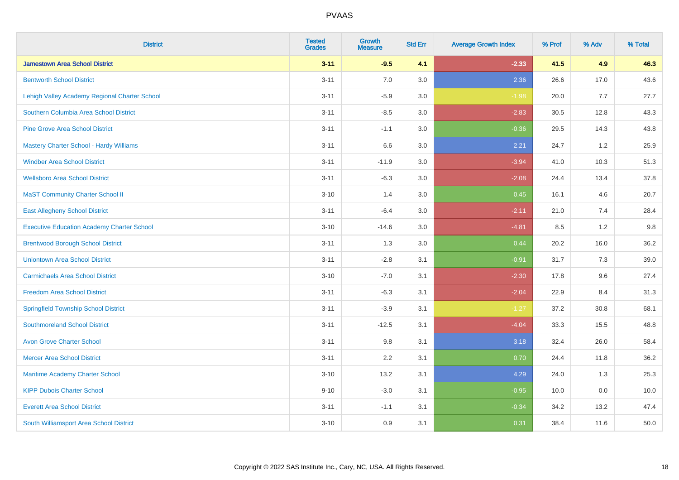| <b>District</b>                                   | <b>Tested</b><br><b>Grades</b> | <b>Growth</b><br><b>Measure</b> | <b>Std Err</b> | <b>Average Growth Index</b> | % Prof | % Adv | % Total |
|---------------------------------------------------|--------------------------------|---------------------------------|----------------|-----------------------------|--------|-------|---------|
| <b>Jamestown Area School District</b>             | $3 - 11$                       | $-9.5$                          | 4.1            | $-2.33$                     | 41.5   | 4.9   | 46.3    |
| <b>Bentworth School District</b>                  | $3 - 11$                       | 7.0                             | 3.0            | 2.36                        | 26.6   | 17.0  | 43.6    |
| Lehigh Valley Academy Regional Charter School     | $3 - 11$                       | $-5.9$                          | 3.0            | $-1.98$                     | 20.0   | 7.7   | 27.7    |
| Southern Columbia Area School District            | $3 - 11$                       | $-8.5$                          | 3.0            | $-2.83$                     | 30.5   | 12.8  | 43.3    |
| <b>Pine Grove Area School District</b>            | $3 - 11$                       | $-1.1$                          | 3.0            | $-0.36$                     | 29.5   | 14.3  | 43.8    |
| Mastery Charter School - Hardy Williams           | $3 - 11$                       | 6.6                             | 3.0            | 2.21                        | 24.7   | 1.2   | 25.9    |
| <b>Windber Area School District</b>               | $3 - 11$                       | $-11.9$                         | 3.0            | $-3.94$                     | 41.0   | 10.3  | 51.3    |
| <b>Wellsboro Area School District</b>             | $3 - 11$                       | $-6.3$                          | 3.0            | $-2.08$                     | 24.4   | 13.4  | 37.8    |
| <b>MaST Community Charter School II</b>           | $3 - 10$                       | 1.4                             | 3.0            | 0.45                        | 16.1   | 4.6   | 20.7    |
| <b>East Allegheny School District</b>             | $3 - 11$                       | $-6.4$                          | 3.0            | $-2.11$                     | 21.0   | 7.4   | 28.4    |
| <b>Executive Education Academy Charter School</b> | $3 - 10$                       | $-14.6$                         | 3.0            | $-4.81$                     | 8.5    | 1.2   | 9.8     |
| <b>Brentwood Borough School District</b>          | $3 - 11$                       | 1.3                             | 3.0            | 0.44                        | 20.2   | 16.0  | 36.2    |
| <b>Uniontown Area School District</b>             | $3 - 11$                       | $-2.8$                          | 3.1            | $-0.91$                     | 31.7   | 7.3   | 39.0    |
| <b>Carmichaels Area School District</b>           | $3 - 10$                       | $-7.0$                          | 3.1            | $-2.30$                     | 17.8   | 9.6   | 27.4    |
| <b>Freedom Area School District</b>               | $3 - 11$                       | $-6.3$                          | 3.1            | $-2.04$                     | 22.9   | 8.4   | 31.3    |
| <b>Springfield Township School District</b>       | $3 - 11$                       | $-3.9$                          | 3.1            | $-1.27$                     | 37.2   | 30.8  | 68.1    |
| <b>Southmoreland School District</b>              | $3 - 11$                       | $-12.5$                         | 3.1            | $-4.04$                     | 33.3   | 15.5  | 48.8    |
| <b>Avon Grove Charter School</b>                  | $3 - 11$                       | 9.8                             | 3.1            | 3.18                        | 32.4   | 26.0  | 58.4    |
| <b>Mercer Area School District</b>                | $3 - 11$                       | 2.2                             | 3.1            | 0.70                        | 24.4   | 11.8  | 36.2    |
| Maritime Academy Charter School                   | $3 - 10$                       | 13.2                            | 3.1            | 4.29                        | 24.0   | 1.3   | 25.3    |
| <b>KIPP Dubois Charter School</b>                 | $9 - 10$                       | $-3.0$                          | 3.1            | $-0.95$                     | 10.0   | 0.0   | 10.0    |
| <b>Everett Area School District</b>               | $3 - 11$                       | $-1.1$                          | 3.1            | $-0.34$                     | 34.2   | 13.2  | 47.4    |
| South Williamsport Area School District           | $3 - 10$                       | 0.9                             | 3.1            | 0.31                        | 38.4   | 11.6  | 50.0    |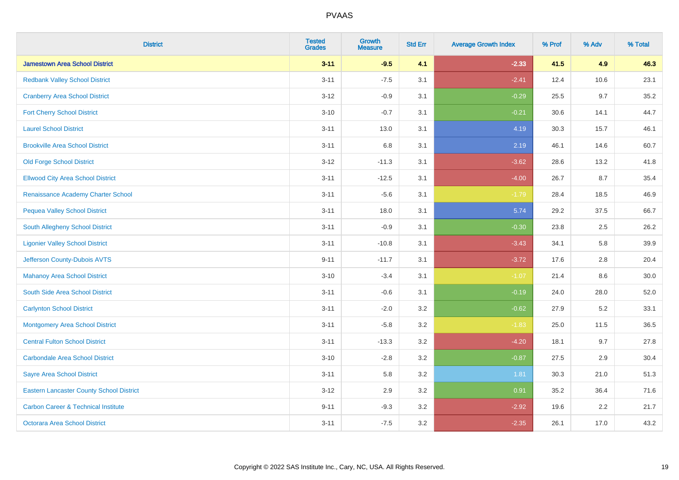| <b>District</b>                                 | <b>Tested</b><br><b>Grades</b> | <b>Growth</b><br><b>Measure</b> | <b>Std Err</b> | <b>Average Growth Index</b> | % Prof | % Adv | % Total |
|-------------------------------------------------|--------------------------------|---------------------------------|----------------|-----------------------------|--------|-------|---------|
| <b>Jamestown Area School District</b>           | $3 - 11$                       | $-9.5$                          | 4.1            | $-2.33$                     | 41.5   | 4.9   | 46.3    |
| <b>Redbank Valley School District</b>           | $3 - 11$                       | $-7.5$                          | 3.1            | $-2.41$                     | 12.4   | 10.6  | 23.1    |
| <b>Cranberry Area School District</b>           | $3 - 12$                       | $-0.9$                          | 3.1            | $-0.29$                     | 25.5   | 9.7   | 35.2    |
| <b>Fort Cherry School District</b>              | $3 - 10$                       | $-0.7$                          | 3.1            | $-0.21$                     | 30.6   | 14.1  | 44.7    |
| <b>Laurel School District</b>                   | $3 - 11$                       | 13.0                            | 3.1            | 4.19                        | 30.3   | 15.7  | 46.1    |
| <b>Brookville Area School District</b>          | $3 - 11$                       | 6.8                             | 3.1            | 2.19                        | 46.1   | 14.6  | 60.7    |
| <b>Old Forge School District</b>                | $3 - 12$                       | $-11.3$                         | 3.1            | $-3.62$                     | 28.6   | 13.2  | 41.8    |
| <b>Ellwood City Area School District</b>        | $3 - 11$                       | $-12.5$                         | 3.1            | $-4.00$                     | 26.7   | 8.7   | 35.4    |
| Renaissance Academy Charter School              | $3 - 11$                       | $-5.6$                          | 3.1            | $-1.79$                     | 28.4   | 18.5  | 46.9    |
| <b>Pequea Valley School District</b>            | $3 - 11$                       | 18.0                            | 3.1            | 5.74                        | 29.2   | 37.5  | 66.7    |
| <b>South Allegheny School District</b>          | $3 - 11$                       | $-0.9$                          | 3.1            | $-0.30$                     | 23.8   | 2.5   | 26.2    |
| <b>Ligonier Valley School District</b>          | $3 - 11$                       | $-10.8$                         | 3.1            | $-3.43$                     | 34.1   | 5.8   | 39.9    |
| Jefferson County-Dubois AVTS                    | $9 - 11$                       | $-11.7$                         | 3.1            | $-3.72$                     | 17.6   | 2.8   | 20.4    |
| <b>Mahanoy Area School District</b>             | $3 - 10$                       | $-3.4$                          | 3.1            | $-1.07$                     | 21.4   | 8.6   | 30.0    |
| South Side Area School District                 | $3 - 11$                       | $-0.6$                          | 3.1            | $-0.19$                     | 24.0   | 28.0  | 52.0    |
| <b>Carlynton School District</b>                | $3 - 11$                       | $-2.0$                          | 3.2            | $-0.62$                     | 27.9   | 5.2   | 33.1    |
| <b>Montgomery Area School District</b>          | $3 - 11$                       | $-5.8$                          | 3.2            | $-1.83$                     | 25.0   | 11.5  | 36.5    |
| <b>Central Fulton School District</b>           | $3 - 11$                       | $-13.3$                         | 3.2            | $-4.20$                     | 18.1   | 9.7   | 27.8    |
| <b>Carbondale Area School District</b>          | $3 - 10$                       | $-2.8$                          | 3.2            | $-0.87$                     | 27.5   | 2.9   | 30.4    |
| <b>Sayre Area School District</b>               | $3 - 11$                       | 5.8                             | 3.2            | 1.81                        | 30.3   | 21.0  | 51.3    |
| <b>Eastern Lancaster County School District</b> | $3 - 12$                       | 2.9                             | 3.2            | 0.91                        | 35.2   | 36.4  | 71.6    |
| <b>Carbon Career &amp; Technical Institute</b>  | $9 - 11$                       | $-9.3$                          | 3.2            | $-2.92$                     | 19.6   | 2.2   | 21.7    |
| Octorara Area School District                   | $3 - 11$                       | $-7.5$                          | 3.2            | $-2.35$                     | 26.1   | 17.0  | 43.2    |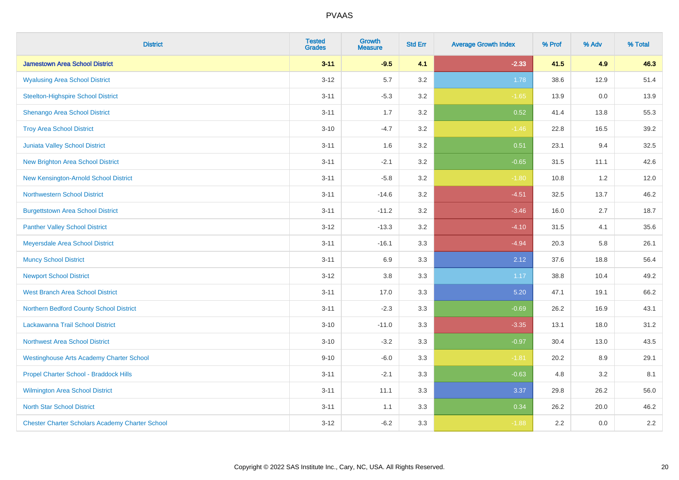| <b>District</b>                                        | <b>Tested</b><br><b>Grades</b> | <b>Growth</b><br><b>Measure</b> | <b>Std Err</b> | <b>Average Growth Index</b> | % Prof | % Adv | % Total |
|--------------------------------------------------------|--------------------------------|---------------------------------|----------------|-----------------------------|--------|-------|---------|
| <b>Jamestown Area School District</b>                  | $3 - 11$                       | $-9.5$                          | 4.1            | $-2.33$                     | 41.5   | 4.9   | 46.3    |
| <b>Wyalusing Area School District</b>                  | $3 - 12$                       | 5.7                             | 3.2            | 1.78                        | 38.6   | 12.9  | 51.4    |
| <b>Steelton-Highspire School District</b>              | $3 - 11$                       | $-5.3$                          | 3.2            | $-1.65$                     | 13.9   | 0.0   | 13.9    |
| Shenango Area School District                          | $3 - 11$                       | 1.7                             | 3.2            | 0.52                        | 41.4   | 13.8  | 55.3    |
| <b>Troy Area School District</b>                       | $3 - 10$                       | $-4.7$                          | 3.2            | $-1.46$                     | 22.8   | 16.5  | 39.2    |
| Juniata Valley School District                         | $3 - 11$                       | 1.6                             | 3.2            | 0.51                        | 23.1   | 9.4   | 32.5    |
| <b>New Brighton Area School District</b>               | $3 - 11$                       | $-2.1$                          | 3.2            | $-0.65$                     | 31.5   | 11.1  | 42.6    |
| New Kensington-Arnold School District                  | $3 - 11$                       | $-5.8$                          | 3.2            | $-1.80$                     | 10.8   | 1.2   | 12.0    |
| <b>Northwestern School District</b>                    | $3 - 11$                       | $-14.6$                         | 3.2            | $-4.51$                     | 32.5   | 13.7  | 46.2    |
| <b>Burgettstown Area School District</b>               | $3 - 11$                       | $-11.2$                         | 3.2            | $-3.46$                     | 16.0   | 2.7   | 18.7    |
| <b>Panther Valley School District</b>                  | $3 - 12$                       | $-13.3$                         | 3.2            | $-4.10$                     | 31.5   | 4.1   | 35.6    |
| Meyersdale Area School District                        | $3 - 11$                       | $-16.1$                         | 3.3            | $-4.94$                     | 20.3   | 5.8   | 26.1    |
| <b>Muncy School District</b>                           | $3 - 11$                       | 6.9                             | 3.3            | 2.12                        | 37.6   | 18.8  | 56.4    |
| <b>Newport School District</b>                         | $3 - 12$                       | 3.8                             | 3.3            | 1.17                        | 38.8   | 10.4  | 49.2    |
| <b>West Branch Area School District</b>                | $3 - 11$                       | 17.0                            | 3.3            | 5.20                        | 47.1   | 19.1  | 66.2    |
| Northern Bedford County School District                | $3 - 11$                       | $-2.3$                          | 3.3            | $-0.69$                     | 26.2   | 16.9  | 43.1    |
| Lackawanna Trail School District                       | $3 - 10$                       | $-11.0$                         | 3.3            | $-3.35$                     | 13.1   | 18.0  | 31.2    |
| <b>Northwest Area School District</b>                  | $3 - 10$                       | $-3.2$                          | 3.3            | $-0.97$                     | 30.4   | 13.0  | 43.5    |
| <b>Westinghouse Arts Academy Charter School</b>        | $9 - 10$                       | $-6.0$                          | 3.3            | $-1.81$                     | 20.2   | 8.9   | 29.1    |
| Propel Charter School - Braddock Hills                 | $3 - 11$                       | $-2.1$                          | 3.3            | $-0.63$                     | 4.8    | 3.2   | 8.1     |
| <b>Wilmington Area School District</b>                 | $3 - 11$                       | 11.1                            | 3.3            | 3.37                        | 29.8   | 26.2  | 56.0    |
| <b>North Star School District</b>                      | $3 - 11$                       | 1.1                             | 3.3            | 0.34                        | 26.2   | 20.0  | 46.2    |
| <b>Chester Charter Scholars Academy Charter School</b> | $3 - 12$                       | $-6.2$                          | 3.3            | $-1.88$                     | 2.2    | 0.0   | $2.2\,$ |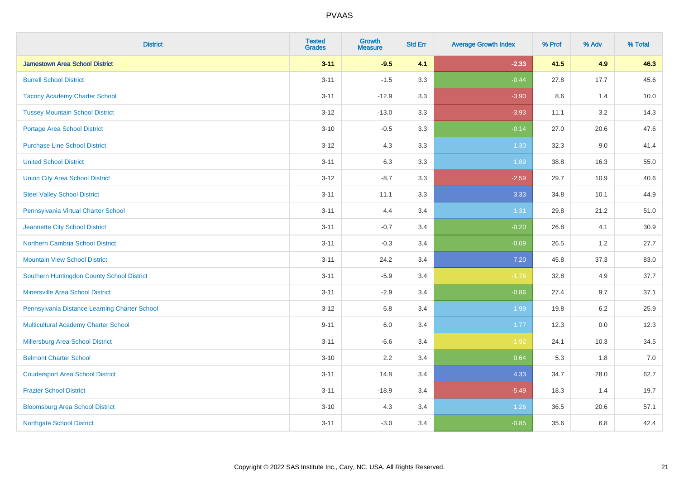| <b>District</b>                               | <b>Tested</b><br><b>Grades</b> | Growth<br><b>Measure</b> | <b>Std Err</b> | <b>Average Growth Index</b> | % Prof | % Adv   | % Total |
|-----------------------------------------------|--------------------------------|--------------------------|----------------|-----------------------------|--------|---------|---------|
| <b>Jamestown Area School District</b>         | $3 - 11$                       | $-9.5$                   | 4.1            | $-2.33$                     | 41.5   | 4.9     | 46.3    |
| <b>Burrell School District</b>                | $3 - 11$                       | $-1.5$                   | 3.3            | $-0.44$                     | 27.8   | 17.7    | 45.6    |
| <b>Tacony Academy Charter School</b>          | $3 - 11$                       | $-12.9$                  | 3.3            | $-3.90$                     | 8.6    | 1.4     | 10.0    |
| <b>Tussey Mountain School District</b>        | $3 - 12$                       | $-13.0$                  | 3.3            | $-3.93$                     | 11.1   | 3.2     | 14.3    |
| <b>Portage Area School District</b>           | $3 - 10$                       | $-0.5$                   | 3.3            | $-0.14$                     | 27.0   | 20.6    | 47.6    |
| <b>Purchase Line School District</b>          | $3 - 12$                       | 4.3                      | 3.3            | 1.30                        | 32.3   | 9.0     | 41.4    |
| <b>United School District</b>                 | $3 - 11$                       | 6.3                      | 3.3            | 1.89                        | 38.8   | 16.3    | 55.0    |
| <b>Union City Area School District</b>        | $3 - 12$                       | $-8.7$                   | 3.3            | $-2.59$                     | 29.7   | 10.9    | 40.6    |
| <b>Steel Valley School District</b>           | $3 - 11$                       | 11.1                     | 3.3            | 3.33                        | 34.8   | 10.1    | 44.9    |
| Pennsylvania Virtual Charter School           | $3 - 11$                       | 4.4                      | 3.4            | 1.31                        | 29.8   | 21.2    | 51.0    |
| Jeannette City School District                | $3 - 11$                       | $-0.7$                   | 3.4            | $-0.20$                     | 26.8   | 4.1     | 30.9    |
| <b>Northern Cambria School District</b>       | $3 - 11$                       | $-0.3$                   | 3.4            | $-0.09$                     | 26.5   | 1.2     | 27.7    |
| <b>Mountain View School District</b>          | $3 - 11$                       | 24.2                     | 3.4            | $7.20$                      | 45.8   | 37.3    | 83.0    |
| Southern Huntingdon County School District    | $3 - 11$                       | $-5.9$                   | 3.4            | $-1.76$                     | 32.8   | 4.9     | 37.7    |
| <b>Minersville Area School District</b>       | $3 - 11$                       | $-2.9$                   | 3.4            | $-0.86$                     | 27.4   | 9.7     | 37.1    |
| Pennsylvania Distance Learning Charter School | $3 - 12$                       | 6.8                      | 3.4            | 1.99                        | 19.8   | $6.2\,$ | 25.9    |
| <b>Multicultural Academy Charter School</b>   | $9 - 11$                       | 6.0                      | 3.4            | 1.77                        | 12.3   | 0.0     | 12.3    |
| Millersburg Area School District              | $3 - 11$                       | $-6.6$                   | 3.4            | $-1.92$                     | 24.1   | 10.3    | 34.5    |
| <b>Belmont Charter School</b>                 | $3 - 10$                       | 2.2                      | 3.4            | 0.64                        | 5.3    | 1.8     | $7.0$   |
| <b>Coudersport Area School District</b>       | $3 - 11$                       | 14.8                     | 3.4            | 4.33                        | 34.7   | 28.0    | 62.7    |
| <b>Frazier School District</b>                | $3 - 11$                       | $-18.9$                  | 3.4            | $-5.49$                     | 18.3   | 1.4     | 19.7    |
| <b>Bloomsburg Area School District</b>        | $3 - 10$                       | 4.3                      | 3.4            | 1.26                        | 36.5   | 20.6    | 57.1    |
| <b>Northgate School District</b>              | $3 - 11$                       | $-3.0$                   | 3.4            | $-0.85$                     | 35.6   | 6.8     | 42.4    |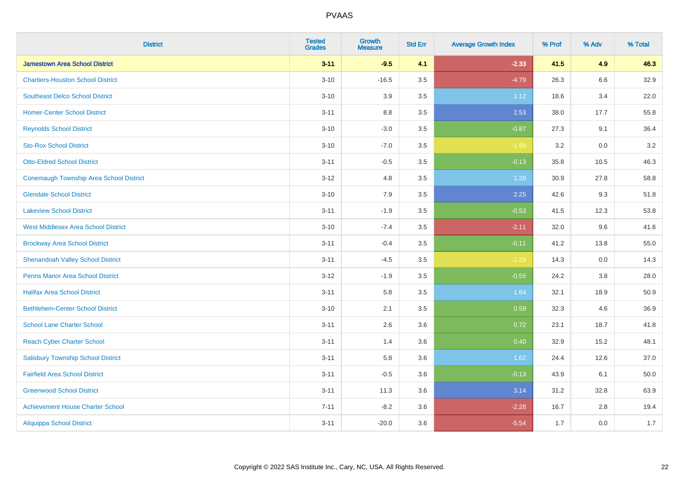| <b>District</b>                            | <b>Tested</b><br><b>Grades</b> | <b>Growth</b><br><b>Measure</b> | <b>Std Err</b> | <b>Average Growth Index</b> | % Prof | % Adv   | % Total |
|--------------------------------------------|--------------------------------|---------------------------------|----------------|-----------------------------|--------|---------|---------|
| <b>Jamestown Area School District</b>      | $3 - 11$                       | $-9.5$                          | 4.1            | $-2.33$                     | 41.5   | 4.9     | 46.3    |
| <b>Chartiers-Houston School District</b>   | $3 - 10$                       | $-16.5$                         | 3.5            | $-4.79$                     | 26.3   | 6.6     | 32.9    |
| <b>Southeast Delco School District</b>     | $3 - 10$                       | 3.9                             | 3.5            | 1.12                        | 18.6   | 3.4     | 22.0    |
| <b>Homer-Center School District</b>        | $3 - 11$                       | $8.8\,$                         | 3.5            | 2.53                        | 38.0   | 17.7    | 55.8    |
| <b>Reynolds School District</b>            | $3 - 10$                       | $-3.0$                          | 3.5            | $-0.87$                     | 27.3   | 9.1     | 36.4    |
| <b>Sto-Rox School District</b>             | $3 - 10$                       | $-7.0$                          | 3.5            | $-1.99$                     | 3.2    | 0.0     | 3.2     |
| <b>Otto-Eldred School District</b>         | $3 - 11$                       | $-0.5$                          | 3.5            | $-0.13$                     | 35.8   | 10.5    | 46.3    |
| Conemaugh Township Area School District    | $3 - 12$                       | 4.8                             | 3.5            | 1.39                        | 30.9   | 27.8    | 58.8    |
| <b>Glendale School District</b>            | $3 - 10$                       | 7.9                             | 3.5            | 2.25                        | 42.6   | 9.3     | 51.8    |
| <b>Lakeview School District</b>            | $3 - 11$                       | $-1.9$                          | 3.5            | $-0.53$                     | 41.5   | 12.3    | 53.8    |
| <b>West Middlesex Area School District</b> | $3 - 10$                       | $-7.4$                          | 3.5            | $-2.11$                     | 32.0   | 9.6     | 41.6    |
| <b>Brockway Area School District</b>       | $3 - 11$                       | $-0.4$                          | 3.5            | $-0.11$                     | 41.2   | 13.8    | 55.0    |
| <b>Shenandoah Valley School District</b>   | $3 - 11$                       | $-4.5$                          | 3.5            | $-1.29$                     | 14.3   | 0.0     | 14.3    |
| <b>Penns Manor Area School District</b>    | $3 - 12$                       | $-1.9$                          | 3.5            | $-0.55$                     | 24.2   | $3.8\,$ | 28.0    |
| <b>Halifax Area School District</b>        | $3 - 11$                       | 5.8                             | 3.5            | 1.64                        | 32.1   | 18.9    | 50.9    |
| <b>Bethlehem-Center School District</b>    | $3 - 10$                       | 2.1                             | 3.5            | 0.59                        | 32.3   | 4.6     | 36.9    |
| <b>School Lane Charter School</b>          | $3 - 11$                       | 2.6                             | 3.6            | 0.72                        | 23.1   | 18.7    | 41.8    |
| <b>Reach Cyber Charter School</b>          | $3 - 11$                       | 1.4                             | 3.6            | 0.40                        | 32.9   | 15.2    | 48.1    |
| <b>Salisbury Township School District</b>  | $3 - 11$                       | 5.8                             | 3.6            | 1.62                        | 24.4   | 12.6    | 37.0    |
| <b>Fairfield Area School District</b>      | $3 - 11$                       | $-0.5$                          | 3.6            | $-0.13$                     | 43.9   | 6.1     | 50.0    |
| <b>Greenwood School District</b>           | $3 - 11$                       | 11.3                            | 3.6            | 3.14                        | 31.2   | 32.8    | 63.9    |
| <b>Achievement House Charter School</b>    | $7 - 11$                       | $-8.2$                          | 3.6            | $-2.28$                     | 16.7   | 2.8     | 19.4    |
| <b>Aliquippa School District</b>           | $3 - 11$                       | $-20.0$                         | 3.6            | $-5.54$                     | 1.7    | 0.0     | 1.7     |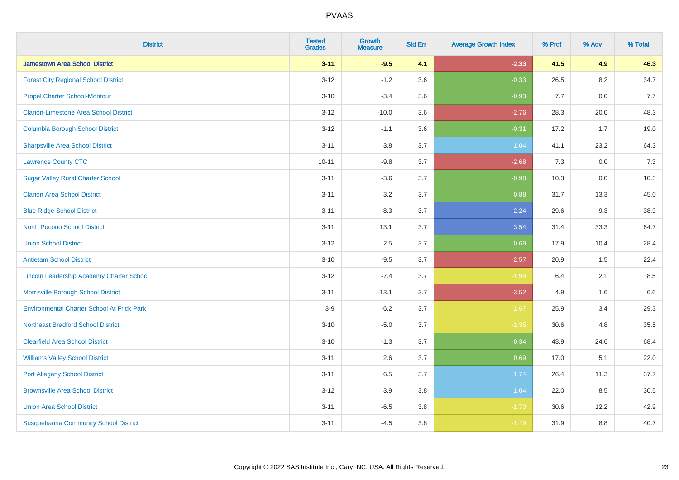| <b>District</b>                                   | <b>Tested</b><br><b>Grades</b> | <b>Growth</b><br><b>Measure</b> | <b>Std Err</b> | <b>Average Growth Index</b> | % Prof | % Adv   | % Total |
|---------------------------------------------------|--------------------------------|---------------------------------|----------------|-----------------------------|--------|---------|---------|
| <b>Jamestown Area School District</b>             | $3 - 11$                       | $-9.5$                          | 4.1            | $-2.33$                     | 41.5   | 4.9     | 46.3    |
| <b>Forest City Regional School District</b>       | $3 - 12$                       | $-1.2$                          | 3.6            | $-0.33$                     | 26.5   | $8.2\,$ | 34.7    |
| <b>Propel Charter School-Montour</b>              | $3 - 10$                       | $-3.4$                          | 3.6            | $-0.93$                     | 7.7    | 0.0     | 7.7     |
| <b>Clarion-Limestone Area School District</b>     | $3 - 12$                       | $-10.0$                         | 3.6            | $-2.76$                     | 28.3   | 20.0    | 48.3    |
| <b>Columbia Borough School District</b>           | $3 - 12$                       | $-1.1$                          | 3.6            | $-0.31$                     | 17.2   | 1.7     | 19.0    |
| <b>Sharpsville Area School District</b>           | $3 - 11$                       | 3.8                             | 3.7            | 1.04                        | 41.1   | 23.2    | 64.3    |
| <b>Lawrence County CTC</b>                        | $10 - 11$                      | $-9.8$                          | 3.7            | $-2.68$                     | 7.3    | 0.0     | 7.3     |
| <b>Sugar Valley Rural Charter School</b>          | $3 - 11$                       | $-3.6$                          | 3.7            | $-0.98$                     | 10.3   | 0.0     | 10.3    |
| <b>Clarion Area School District</b>               | $3 - 11$                       | 3.2                             | 3.7            | 0.88                        | 31.7   | 13.3    | 45.0    |
| <b>Blue Ridge School District</b>                 | $3 - 11$                       | 8.3                             | 3.7            | 2.24                        | 29.6   | 9.3     | 38.9    |
| <b>North Pocono School District</b>               | $3 - 11$                       | 13.1                            | 3.7            | 3.54                        | 31.4   | 33.3    | 64.7    |
| <b>Union School District</b>                      | $3 - 12$                       | 2.5                             | 3.7            | 0.69                        | 17.9   | 10.4    | 28.4    |
| <b>Antietam School District</b>                   | $3 - 10$                       | $-9.5$                          | 3.7            | $-2.57$                     | 20.9   | $1.5\,$ | 22.4    |
| Lincoln Leadership Academy Charter School         | $3 - 12$                       | $-7.4$                          | 3.7            | $-1.99$                     | 6.4    | 2.1     | 8.5     |
| Morrisville Borough School District               | $3 - 11$                       | $-13.1$                         | 3.7            | $-3.52$                     | 4.9    | 1.6     | 6.6     |
| <b>Environmental Charter School At Frick Park</b> | $3-9$                          | $-6.2$                          | 3.7            | $-1.67$                     | 25.9   | 3.4     | 29.3    |
| <b>Northeast Bradford School District</b>         | $3 - 10$                       | $-5.0$                          | 3.7            | $-1.35$                     | 30.6   | 4.8     | 35.5    |
| <b>Clearfield Area School District</b>            | $3 - 10$                       | $-1.3$                          | 3.7            | $-0.34$                     | 43.9   | 24.6    | 68.4    |
| <b>Williams Valley School District</b>            | $3 - 11$                       | 2.6                             | 3.7            | 0.69                        | 17.0   | 5.1     | 22.0    |
| <b>Port Allegany School District</b>              | $3 - 11$                       | 6.5                             | 3.7            | 1.74                        | 26.4   | 11.3    | 37.7    |
| <b>Brownsville Area School District</b>           | $3 - 12$                       | 3.9                             | 3.8            | 1.04                        | 22.0   | 8.5     | 30.5    |
| <b>Union Area School District</b>                 | $3 - 11$                       | $-6.5$                          | 3.8            | $-1.70$                     | 30.6   | 12.2    | 42.9    |
| <b>Susquehanna Community School District</b>      | $3 - 11$                       | $-4.5$                          | 3.8            | $-1.19$                     | 31.9   | 8.8     | 40.7    |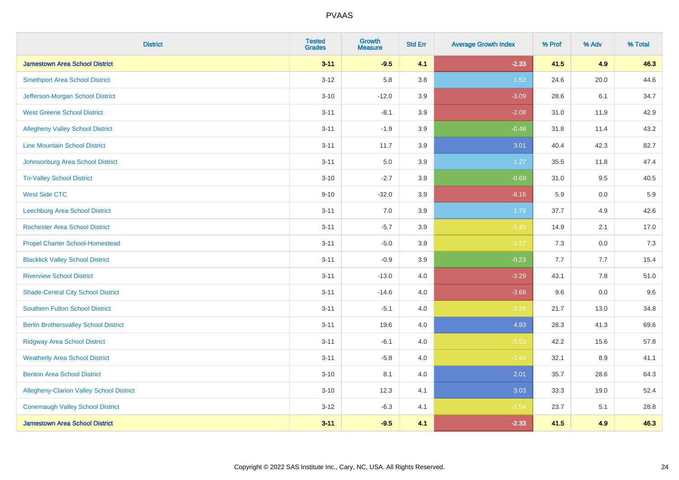| <b>District</b>                              | <b>Tested</b><br><b>Grades</b> | <b>Growth</b><br><b>Measure</b> | <b>Std Err</b> | <b>Average Growth Index</b> | % Prof  | % Adv | % Total |
|----------------------------------------------|--------------------------------|---------------------------------|----------------|-----------------------------|---------|-------|---------|
| <b>Jamestown Area School District</b>        | $3 - 11$                       | $-9.5$                          | 4.1            | $-2.33$                     | 41.5    | 4.9   | 46.3    |
| <b>Smethport Area School District</b>        | $3 - 12$                       | 5.8                             | 3.8            | 1.52                        | 24.6    | 20.0  | 44.6    |
| Jefferson-Morgan School District             | $3 - 10$                       | $-12.0$                         | 3.9            | $-3.09$                     | 28.6    | 6.1   | 34.7    |
| <b>West Greene School District</b>           | $3 - 11$                       | $-8.1$                          | 3.9            | $-2.08$                     | 31.0    | 11.9  | 42.9    |
| <b>Allegheny Valley School District</b>      | $3 - 11$                       | $-1.9$                          | 3.9            | $-0.48$                     | 31.8    | 11.4  | 43.2    |
| <b>Line Mountain School District</b>         | $3 - 11$                       | 11.7                            | 3.9            | 3.01                        | 40.4    | 42.3  | 82.7    |
| Johnsonburg Area School District             | $3 - 11$                       | 5.0                             | 3.9            | 1.27                        | 35.5    | 11.8  | 47.4    |
| <b>Tri-Valley School District</b>            | $3 - 10$                       | $-2.7$                          | 3.9            | $-0.69$                     | 31.0    | 9.5   | 40.5    |
| <b>West Side CTC</b>                         | $9 - 10$                       | $-32.0$                         | 3.9            | $-8.16$                     | 5.9     | 0.0   | 5.9     |
| Leechburg Area School District               | $3 - 11$                       | 7.0                             | 3.9            | 1.79                        | 37.7    | 4.9   | 42.6    |
| <b>Rochester Area School District</b>        | $3 - 11$                       | $-5.7$                          | 3.9            | $-1.45$                     | 14.9    | 2.1   | 17.0    |
| <b>Propel Charter School-Homestead</b>       | $3 - 11$                       | $-5.0$                          | 3.9            | $-1.27$                     | 7.3     | 0.0   | 7.3     |
| <b>Blacklick Valley School District</b>      | $3 - 11$                       | $-0.9$                          | 3.9            | $-0.23$                     | $7.7\,$ | 7.7   | 15.4    |
| <b>Riverview School District</b>             | $3 - 11$                       | $-13.0$                         | 4.0            | $-3.29$                     | 43.1    | 7.8   | 51.0    |
| <b>Shade-Central City School District</b>    | $3 - 11$                       | $-14.6$                         | 4.0            | $-3.68$                     | 9.6     | 0.0   | 9.6     |
| <b>Southern Fulton School District</b>       | $3 - 11$                       | $-5.1$                          | 4.0            | $-1.29$                     | 21.7    | 13.0  | 34.8    |
| <b>Berlin Brothersvalley School District</b> | $3 - 11$                       | 19.6                            | 4.0            | 4.93                        | 28.3    | 41.3  | 69.6    |
| <b>Ridgway Area School District</b>          | $3 - 11$                       | $-6.1$                          | 4.0            | $-1.53$                     | 42.2    | 15.6  | 57.8    |
| <b>Weatherly Area School District</b>        | $3 - 11$                       | $-5.8$                          | 4.0            | $-1.44$                     | 32.1    | 8.9   | 41.1    |
| <b>Benton Area School District</b>           | $3 - 10$                       | 8.1                             | 4.0            | 2.01                        | 35.7    | 28.6  | 64.3    |
| Allegheny-Clarion Valley School District     | $3 - 10$                       | 12.3                            | 4.1            | 3.03                        | 33.3    | 19.0  | 52.4    |
| <b>Conemaugh Valley School District</b>      | $3 - 12$                       | $-6.3$                          | 4.1            | $-1.54$                     | 23.7    | 5.1   | 28.8    |
| <b>Jamestown Area School District</b>        | $3 - 11$                       | $-9.5$                          | 4.1            | $-2.33$                     | 41.5    | 4.9   | 46.3    |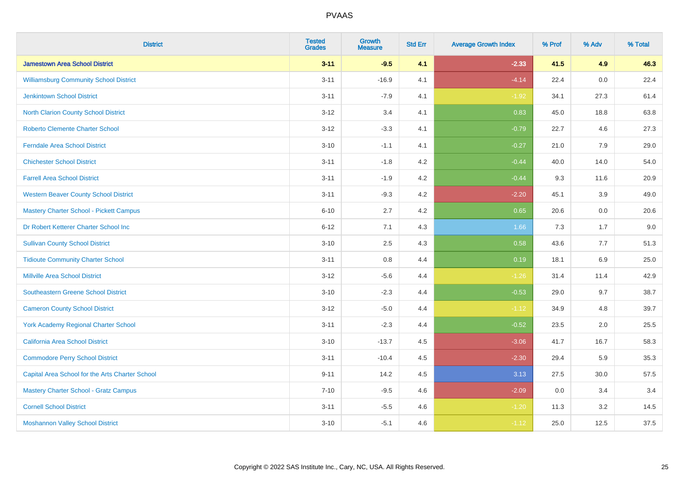| <b>District</b>                                 | <b>Tested</b><br><b>Grades</b> | <b>Growth</b><br><b>Measure</b> | <b>Std Err</b> | <b>Average Growth Index</b> | % Prof | % Adv | % Total |
|-------------------------------------------------|--------------------------------|---------------------------------|----------------|-----------------------------|--------|-------|---------|
| <b>Jamestown Area School District</b>           | $3 - 11$                       | $-9.5$                          | 4.1            | $-2.33$                     | 41.5   | 4.9   | 46.3    |
| <b>Williamsburg Community School District</b>   | $3 - 11$                       | $-16.9$                         | 4.1            | $-4.14$                     | 22.4   | 0.0   | 22.4    |
| <b>Jenkintown School District</b>               | $3 - 11$                       | $-7.9$                          | 4.1            | $-1.92$                     | 34.1   | 27.3  | 61.4    |
| North Clarion County School District            | $3 - 12$                       | 3.4                             | 4.1            | 0.83                        | 45.0   | 18.8  | 63.8    |
| <b>Roberto Clemente Charter School</b>          | $3 - 12$                       | $-3.3$                          | 4.1            | $-0.79$                     | 22.7   | 4.6   | 27.3    |
| <b>Ferndale Area School District</b>            | $3 - 10$                       | $-1.1$                          | 4.1            | $-0.27$                     | 21.0   | 7.9   | 29.0    |
| <b>Chichester School District</b>               | $3 - 11$                       | $-1.8$                          | 4.2            | $-0.44$                     | 40.0   | 14.0  | 54.0    |
| <b>Farrell Area School District</b>             | $3 - 11$                       | $-1.9$                          | 4.2            | $-0.44$                     | 9.3    | 11.6  | 20.9    |
| <b>Western Beaver County School District</b>    | $3 - 11$                       | $-9.3$                          | 4.2            | $-2.20$                     | 45.1   | 3.9   | 49.0    |
| <b>Mastery Charter School - Pickett Campus</b>  | $6 - 10$                       | 2.7                             | 4.2            | 0.65                        | 20.6   | 0.0   | 20.6    |
| Dr Robert Ketterer Charter School Inc           | $6 - 12$                       | 7.1                             | 4.3            | 1.66                        | 7.3    | 1.7   | 9.0     |
| <b>Sullivan County School District</b>          | $3 - 10$                       | 2.5                             | 4.3            | 0.58                        | 43.6   | 7.7   | 51.3    |
| <b>Tidioute Community Charter School</b>        | $3 - 11$                       | $0.8\,$                         | 4.4            | 0.19                        | 18.1   | 6.9   | 25.0    |
| <b>Millville Area School District</b>           | $3 - 12$                       | $-5.6$                          | 4.4            | $-1.26$                     | 31.4   | 11.4  | 42.9    |
| <b>Southeastern Greene School District</b>      | $3 - 10$                       | $-2.3$                          | 4.4            | $-0.53$                     | 29.0   | 9.7   | 38.7    |
| <b>Cameron County School District</b>           | $3 - 12$                       | $-5.0$                          | 4.4            | $-1.12$                     | 34.9   | 4.8   | 39.7    |
| <b>York Academy Regional Charter School</b>     | $3 - 11$                       | $-2.3$                          | 4.4            | $-0.52$                     | 23.5   | 2.0   | 25.5    |
| California Area School District                 | $3 - 10$                       | $-13.7$                         | 4.5            | $-3.06$                     | 41.7   | 16.7  | 58.3    |
| <b>Commodore Perry School District</b>          | $3 - 11$                       | $-10.4$                         | 4.5            | $-2.30$                     | 29.4   | 5.9   | 35.3    |
| Capital Area School for the Arts Charter School | $9 - 11$                       | 14.2                            | 4.5            | 3.13                        | 27.5   | 30.0  | 57.5    |
| <b>Mastery Charter School - Gratz Campus</b>    | $7 - 10$                       | $-9.5$                          | 4.6            | $-2.09$                     | 0.0    | 3.4   | 3.4     |
| <b>Cornell School District</b>                  | $3 - 11$                       | $-5.5$                          | 4.6            | $-1.20$                     | 11.3   | 3.2   | 14.5    |
| <b>Moshannon Valley School District</b>         | $3 - 10$                       | $-5.1$                          | 4.6            | $-1.12$                     | 25.0   | 12.5  | 37.5    |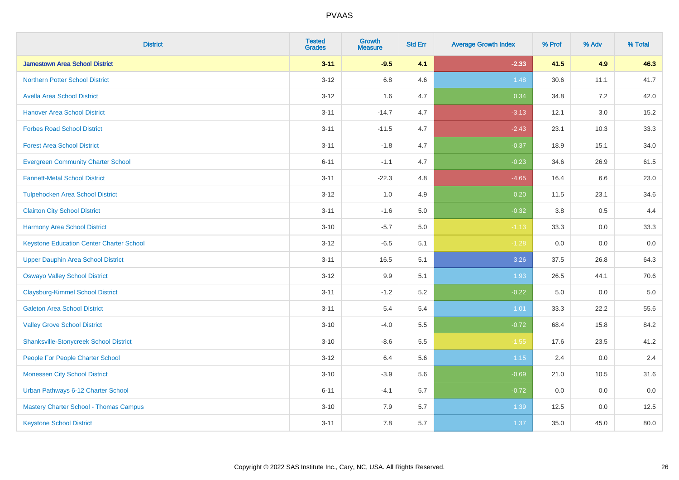| <b>District</b>                                 | <b>Tested</b><br><b>Grades</b> | <b>Growth</b><br><b>Measure</b> | <b>Std Err</b> | <b>Average Growth Index</b> | % Prof | % Adv   | % Total |
|-------------------------------------------------|--------------------------------|---------------------------------|----------------|-----------------------------|--------|---------|---------|
| <b>Jamestown Area School District</b>           | $3 - 11$                       | $-9.5$                          | 4.1            | $-2.33$                     | 41.5   | 4.9     | 46.3    |
| <b>Northern Potter School District</b>          | $3 - 12$                       | 6.8                             | 4.6            | 1.48                        | 30.6   | 11.1    | 41.7    |
| <b>Avella Area School District</b>              | $3 - 12$                       | 1.6                             | 4.7            | 0.34                        | 34.8   | 7.2     | 42.0    |
| <b>Hanover Area School District</b>             | $3 - 11$                       | $-14.7$                         | 4.7            | $-3.13$                     | 12.1   | 3.0     | 15.2    |
| <b>Forbes Road School District</b>              | $3 - 11$                       | $-11.5$                         | 4.7            | $-2.43$                     | 23.1   | 10.3    | 33.3    |
| <b>Forest Area School District</b>              | $3 - 11$                       | $-1.8$                          | 4.7            | $-0.37$                     | 18.9   | 15.1    | 34.0    |
| <b>Evergreen Community Charter School</b>       | $6 - 11$                       | $-1.1$                          | 4.7            | $-0.23$                     | 34.6   | 26.9    | 61.5    |
| <b>Fannett-Metal School District</b>            | $3 - 11$                       | $-22.3$                         | 4.8            | $-4.65$                     | 16.4   | 6.6     | 23.0    |
| <b>Tulpehocken Area School District</b>         | $3 - 12$                       | 1.0                             | 4.9            | 0.20                        | 11.5   | 23.1    | 34.6    |
| <b>Clairton City School District</b>            | $3 - 11$                       | $-1.6$                          | 5.0            | $-0.32$                     | 3.8    | $0.5\,$ | 4.4     |
| <b>Harmony Area School District</b>             | $3 - 10$                       | $-5.7$                          | 5.0            | $-1.13$                     | 33.3   | 0.0     | 33.3    |
| <b>Keystone Education Center Charter School</b> | $3 - 12$                       | $-6.5$                          | 5.1            | $-1.28$                     | 0.0    | 0.0     | 0.0     |
| <b>Upper Dauphin Area School District</b>       | $3 - 11$                       | 16.5                            | 5.1            | 3.26                        | 37.5   | 26.8    | 64.3    |
| <b>Oswayo Valley School District</b>            | $3 - 12$                       | 9.9                             | 5.1            | 1.93                        | 26.5   | 44.1    | 70.6    |
| <b>Claysburg-Kimmel School District</b>         | $3 - 11$                       | $-1.2$                          | 5.2            | $-0.22$                     | 5.0    | 0.0     | $5.0\,$ |
| <b>Galeton Area School District</b>             | $3 - 11$                       | 5.4                             | 5.4            | 1.01                        | 33.3   | 22.2    | 55.6    |
| <b>Valley Grove School District</b>             | $3 - 10$                       | $-4.0$                          | 5.5            | $-0.72$                     | 68.4   | 15.8    | 84.2    |
| <b>Shanksville-Stonycreek School District</b>   | $3 - 10$                       | $-8.6$                          | 5.5            | $-1.55$                     | 17.6   | 23.5    | 41.2    |
| People For People Charter School                | $3-12$                         | 6.4                             | 5.6            | 1.15                        | 2.4    | 0.0     | 2.4     |
| <b>Monessen City School District</b>            | $3 - 10$                       | $-3.9$                          | 5.6            | $-0.69$                     | 21.0   | 10.5    | 31.6    |
| Urban Pathways 6-12 Charter School              | $6 - 11$                       | $-4.1$                          | 5.7            | $-0.72$                     | 0.0    | 0.0     | 0.0     |
| Mastery Charter School - Thomas Campus          | $3 - 10$                       | 7.9                             | 5.7            | 1.39                        | 12.5   | 0.0     | 12.5    |
| <b>Keystone School District</b>                 | $3 - 11$                       | 7.8                             | 5.7            | 1.37                        | 35.0   | 45.0    | 80.0    |